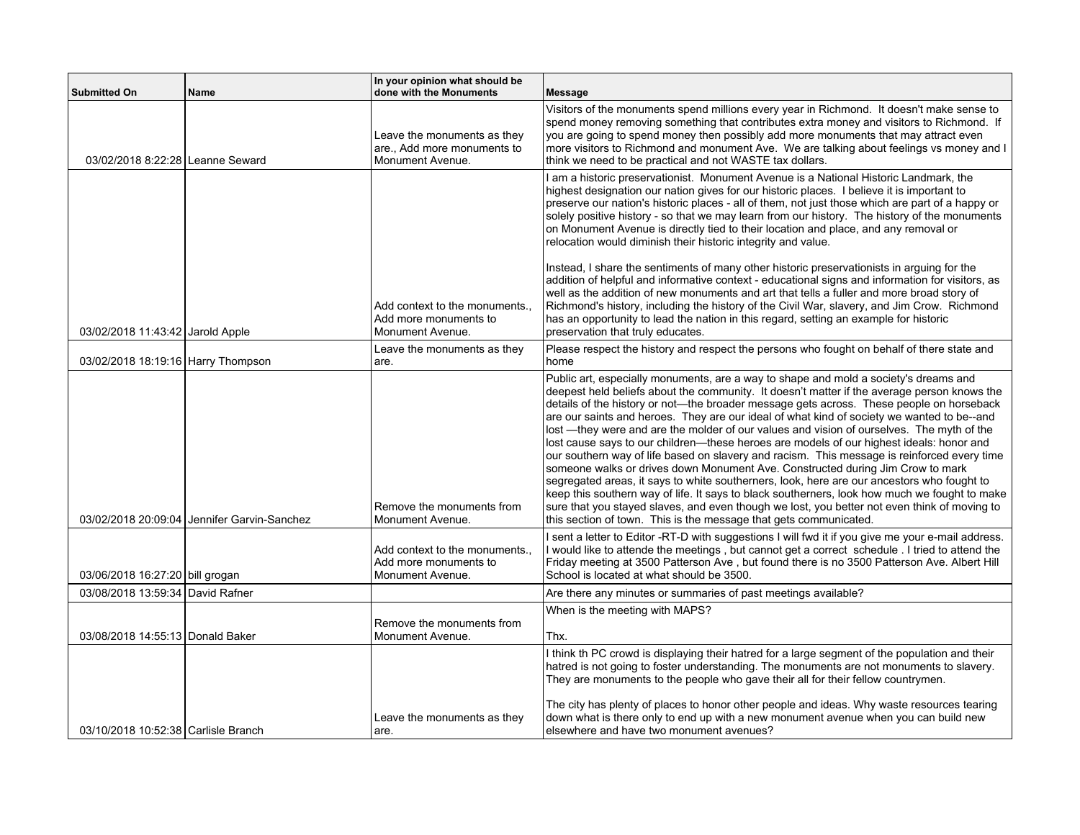| <b>Submitted On</b>                 | Name                                        | In your opinion what should be<br>done with the Monuments                      | <b>Message</b>                                                                                                                                                                                                                                                                                                                                                                                                                                                                                                                                                                                                                                                                                                                                                                                                                                                                                                                                                                                                                                                                                                                      |
|-------------------------------------|---------------------------------------------|--------------------------------------------------------------------------------|-------------------------------------------------------------------------------------------------------------------------------------------------------------------------------------------------------------------------------------------------------------------------------------------------------------------------------------------------------------------------------------------------------------------------------------------------------------------------------------------------------------------------------------------------------------------------------------------------------------------------------------------------------------------------------------------------------------------------------------------------------------------------------------------------------------------------------------------------------------------------------------------------------------------------------------------------------------------------------------------------------------------------------------------------------------------------------------------------------------------------------------|
| 03/02/2018 8:22:28 Leanne Seward    |                                             | Leave the monuments as they<br>are., Add more monuments to<br>Monument Avenue. | Visitors of the monuments spend millions every year in Richmond. It doesn't make sense to<br>spend money removing something that contributes extra money and visitors to Richmond. If<br>you are going to spend money then possibly add more monuments that may attract even<br>more visitors to Richmond and monument Ave. We are talking about feelings vs money and I<br>think we need to be practical and not WASTE tax dollars.                                                                                                                                                                                                                                                                                                                                                                                                                                                                                                                                                                                                                                                                                                |
|                                     |                                             | Add context to the monuments<br>Add more monuments to                          | I am a historic preservationist. Monument Avenue is a National Historic Landmark, the<br>highest designation our nation gives for our historic places. I believe it is important to<br>preserve our nation's historic places - all of them, not just those which are part of a happy or<br>solely positive history - so that we may learn from our history. The history of the monuments<br>on Monument Avenue is directly tied to their location and place, and any removal or<br>relocation would diminish their historic integrity and value.<br>Instead, I share the sentiments of many other historic preservationists in arguing for the<br>addition of helpful and informative context - educational signs and information for visitors, as<br>well as the addition of new monuments and art that tells a fuller and more broad story of<br>Richmond's history, including the history of the Civil War, slavery, and Jim Crow. Richmond<br>has an opportunity to lead the nation in this regard, setting an example for historic                                                                                             |
| 03/02/2018 11:43:42 Jarold Apple    |                                             | Monument Avenue.<br>Leave the monuments as they                                | preservation that truly educates.<br>Please respect the history and respect the persons who fought on behalf of there state and                                                                                                                                                                                                                                                                                                                                                                                                                                                                                                                                                                                                                                                                                                                                                                                                                                                                                                                                                                                                     |
| 03/02/2018 18:19:16 Harry Thompson  | 03/02/2018 20:09:04 Jennifer Garvin-Sanchez | are.<br>Remove the monuments from<br>Monument Avenue.                          | home<br>Public art, especially monuments, are a way to shape and mold a society's dreams and<br>deepest held beliefs about the community. It doesn't matter if the average person knows the<br>details of the history or not-the broader message gets across. These people on horseback<br>are our saints and heroes. They are our ideal of what kind of society we wanted to be--and<br>lost —they were and are the molder of our values and vision of ourselves. The myth of the<br>lost cause says to our children-these heroes are models of our highest ideals: honor and<br>our southern way of life based on slavery and racism. This message is reinforced every time<br>someone walks or drives down Monument Ave. Constructed during Jim Crow to mark<br>segregated areas, it says to white southerners, look, here are our ancestors who fought to<br>keep this southern way of life. It says to black southerners, look how much we fought to make<br>sure that you stayed slaves, and even though we lost, you better not even think of moving to<br>this section of town. This is the message that gets communicated. |
| 03/06/2018 16:27:20 bill grogan     |                                             | Add context to the monuments<br>Add more monuments to<br>Monument Avenue.      | I sent a letter to Editor -RT-D with suggestions I will fwd it if you give me your e-mail address.<br>I would like to attende the meetings, but cannot get a correct schedule. I tried to attend the<br>Friday meeting at 3500 Patterson Ave, but found there is no 3500 Patterson Ave. Albert Hill<br>School is located at what should be 3500.                                                                                                                                                                                                                                                                                                                                                                                                                                                                                                                                                                                                                                                                                                                                                                                    |
| 03/08/2018 13:59:34 David Rafner    |                                             |                                                                                | Are there any minutes or summaries of past meetings available?                                                                                                                                                                                                                                                                                                                                                                                                                                                                                                                                                                                                                                                                                                                                                                                                                                                                                                                                                                                                                                                                      |
| 03/08/2018 14:55:13 Donald Baker    |                                             | Remove the monuments from<br>Monument Avenue.                                  | When is the meeting with MAPS?<br>Thx.                                                                                                                                                                                                                                                                                                                                                                                                                                                                                                                                                                                                                                                                                                                                                                                                                                                                                                                                                                                                                                                                                              |
| 03/10/2018 10:52:38 Carlisle Branch |                                             | Leave the monuments as they<br>are.                                            | I think th PC crowd is displaying their hatred for a large segment of the population and their<br>hatred is not going to foster understanding. The monuments are not monuments to slavery.<br>They are monuments to the people who gave their all for their fellow countrymen.<br>The city has plenty of places to honor other people and ideas. Why waste resources tearing<br>down what is there only to end up with a new monument avenue when you can build new<br>elsewhere and have two monument avenues?                                                                                                                                                                                                                                                                                                                                                                                                                                                                                                                                                                                                                     |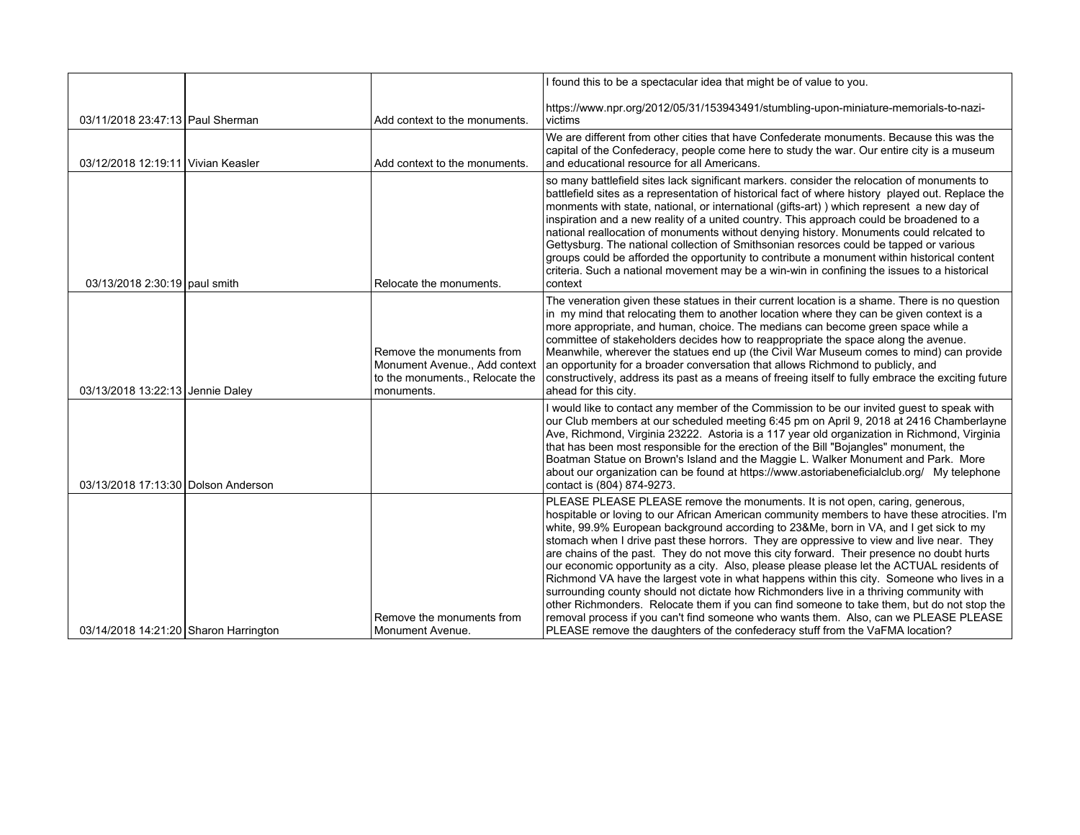|                                       |                                                                                                             | I found this to be a spectacular idea that might be of value to you.                                                                                                                                                                                                                                                                                                                                                                                                                                                                                                                                                                                                                                                                                                                                                                                                                                                                                                                                                         |
|---------------------------------------|-------------------------------------------------------------------------------------------------------------|------------------------------------------------------------------------------------------------------------------------------------------------------------------------------------------------------------------------------------------------------------------------------------------------------------------------------------------------------------------------------------------------------------------------------------------------------------------------------------------------------------------------------------------------------------------------------------------------------------------------------------------------------------------------------------------------------------------------------------------------------------------------------------------------------------------------------------------------------------------------------------------------------------------------------------------------------------------------------------------------------------------------------|
| 03/11/2018 23:47:13 Paul Sherman      | Add context to the monuments.                                                                               | https://www.npr.org/2012/05/31/153943491/stumbling-upon-miniature-memorials-to-nazi-<br>victims                                                                                                                                                                                                                                                                                                                                                                                                                                                                                                                                                                                                                                                                                                                                                                                                                                                                                                                              |
| 03/12/2018 12:19:11 Vivian Keasler    | Add context to the monuments.                                                                               | We are different from other cities that have Confederate monuments. Because this was the<br>capital of the Confederacy, people come here to study the war. Our entire city is a museum<br>and educational resource for all Americans.                                                                                                                                                                                                                                                                                                                                                                                                                                                                                                                                                                                                                                                                                                                                                                                        |
| 03/13/2018 2:30:19 paul smith         | Relocate the monuments.                                                                                     | so many battlefield sites lack significant markers. consider the relocation of monuments to<br>battlefield sites as a representation of historical fact of where history played out. Replace the<br>monments with state, national, or international (gifts-art)) which represent a new day of<br>inspiration and a new reality of a united country. This approach could be broadened to a<br>national reallocation of monuments without denying history. Monuments could relcated to<br>Gettysburg. The national collection of Smithsonian resorces could be tapped or various<br>groups could be afforded the opportunity to contribute a monument within historical content<br>criteria. Such a national movement may be a win-win in confining the issues to a historical<br>context                                                                                                                                                                                                                                      |
| 03/13/2018 13:22:13 Jennie Daley      | Remove the monuments from<br>Monument Avenue., Add context<br>to the monuments., Relocate the<br>monuments. | The veneration given these statues in their current location is a shame. There is no question<br>in my mind that relocating them to another location where they can be given context is a<br>more appropriate, and human, choice. The medians can become green space while a<br>committee of stakeholders decides how to reappropriate the space along the avenue.<br>Meanwhile, wherever the statues end up (the Civil War Museum comes to mind) can provide<br>an opportunity for a broader conversation that allows Richmond to publicly, and<br>constructively, address its past as a means of freeing itself to fully embrace the exciting future<br>ahead for this city.                                                                                                                                                                                                                                                                                                                                               |
| 03/13/2018 17:13:30 Dolson Anderson   |                                                                                                             | I would like to contact any member of the Commission to be our invited guest to speak with<br>our Club members at our scheduled meeting 6:45 pm on April 9, 2018 at 2416 Chamberlayne<br>Ave, Richmond, Virginia 23222. Astoria is a 117 year old organization in Richmond, Virginia<br>that has been most responsible for the erection of the Bill "Bojangles" monument, the<br>Boatman Statue on Brown's Island and the Maggie L. Walker Monument and Park. More<br>about our organization can be found at https://www.astoriabeneficialclub.org/ My telephone<br>contact is (804) 874-9273.                                                                                                                                                                                                                                                                                                                                                                                                                               |
| 03/14/2018 14:21:20 Sharon Harrington | Remove the monuments from<br>Monument Avenue.                                                               | PLEASE PLEASE PLEASE remove the monuments. It is not open, caring, generous,<br>hospitable or loving to our African American community members to have these atrocities. I'm<br>white, 99.9% European background according to 23&Me, born in VA, and I get sick to my<br>stomach when I drive past these horrors. They are oppressive to view and live near. They<br>are chains of the past. They do not move this city forward. Their presence no doubt hurts<br>our economic opportunity as a city. Also, please please please let the ACTUAL residents of<br>Richmond VA have the largest vote in what happens within this city. Someone who lives in a<br>surrounding county should not dictate how Richmonders live in a thriving community with<br>other Richmonders. Relocate them if you can find someone to take them, but do not stop the<br>removal process if you can't find someone who wants them. Also, can we PLEASE PLEASE<br>PLEASE remove the daughters of the confederacy stuff from the VaFMA location? |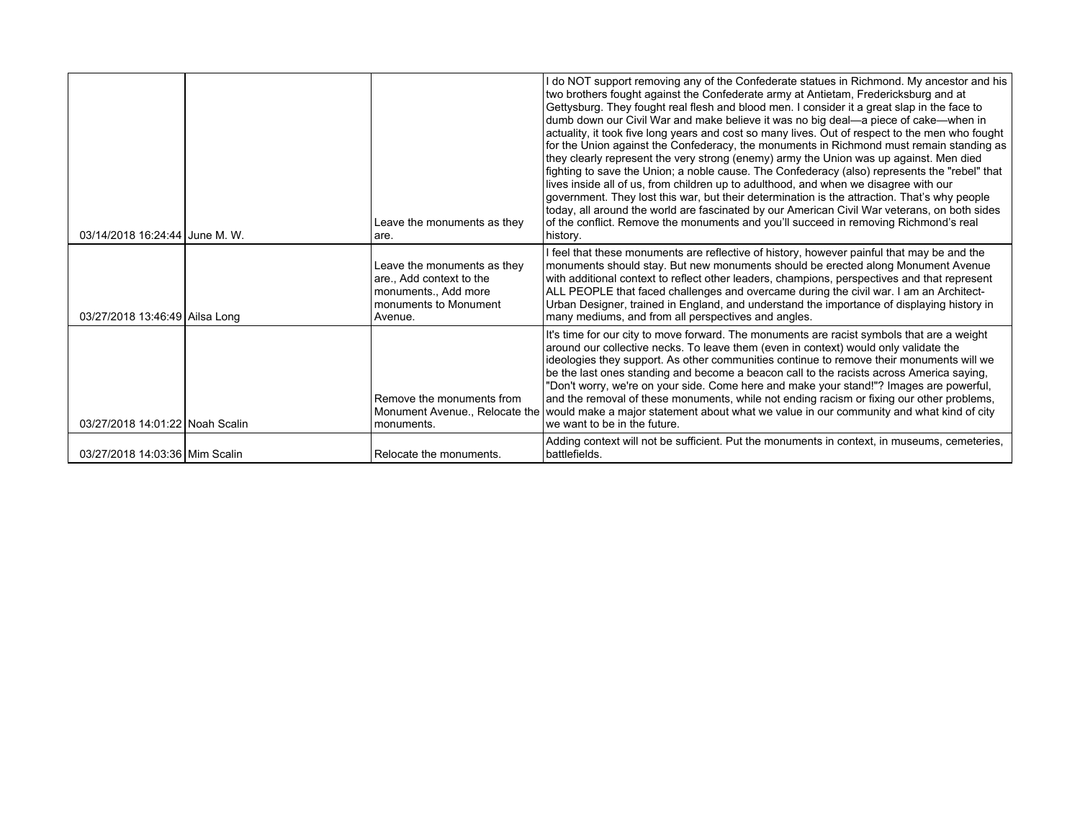| 03/14/2018 16:24:44 June M. W.  | Leave the monuments as they<br>are.                                                                                 | I do NOT support removing any of the Confederate statues in Richmond. My ancestor and his<br>two brothers fought against the Confederate army at Antietam, Fredericksburg and at<br>Gettysburg. They fought real flesh and blood men. I consider it a great slap in the face to<br>dumb down our Civil War and make believe it was no big deal—a piece of cake—when in<br>actuality, it took five long years and cost so many lives. Out of respect to the men who fought<br>for the Union against the Confederacy, the monuments in Richmond must remain standing as<br>they clearly represent the very strong (enemy) army the Union was up against. Men died<br>fighting to save the Union; a noble cause. The Confederacy (also) represents the "rebel" that<br>lives inside all of us, from children up to adulthood, and when we disagree with our<br>government. They lost this war, but their determination is the attraction. That's why people<br>today, all around the world are fascinated by our American Civil War veterans, on both sides<br>of the conflict. Remove the monuments and you'll succeed in removing Richmond's real<br>history. |
|---------------------------------|---------------------------------------------------------------------------------------------------------------------|--------------------------------------------------------------------------------------------------------------------------------------------------------------------------------------------------------------------------------------------------------------------------------------------------------------------------------------------------------------------------------------------------------------------------------------------------------------------------------------------------------------------------------------------------------------------------------------------------------------------------------------------------------------------------------------------------------------------------------------------------------------------------------------------------------------------------------------------------------------------------------------------------------------------------------------------------------------------------------------------------------------------------------------------------------------------------------------------------------------------------------------------------------------|
| 03/27/2018 13:46:49 Ailsa Long  | Leave the monuments as they<br>are., Add context to the<br>monuments., Add more<br>monuments to Monument<br>Avenue. | I feel that these monuments are reflective of history, however painful that may be and the<br>monuments should stay. But new monuments should be erected along Monument Avenue<br>with additional context to reflect other leaders, champions, perspectives and that represent<br>ALL PEOPLE that faced challenges and overcame during the civil war. I am an Architect-<br>Urban Designer, trained in England, and understand the importance of displaying history in<br>many mediums, and from all perspectives and angles.                                                                                                                                                                                                                                                                                                                                                                                                                                                                                                                                                                                                                                |
| 03/27/2018 14:01:22 Noah Scalin | Remove the monuments from<br>Monument Avenue., Relocate the<br>monuments.                                           | It's time for our city to move forward. The monuments are racist symbols that are a weight<br>around our collective necks. To leave them (even in context) would only validate the<br>ideologies they support. As other communities continue to remove their monuments will we<br>be the last ones standing and become a beacon call to the racists across America saying,<br>"Don't worry, we're on your side. Come here and make your stand!"? Images are powerful,<br>and the removal of these monuments, while not ending racism or fixing our other problems,<br>would make a major statement about what we value in our community and what kind of city<br>we want to be in the future.                                                                                                                                                                                                                                                                                                                                                                                                                                                                |
| 03/27/2018 14:03:36 Mim Scalin  | Relocate the monuments.                                                                                             | Adding context will not be sufficient. Put the monuments in context, in museums, cemeteries,<br>battlefields.                                                                                                                                                                                                                                                                                                                                                                                                                                                                                                                                                                                                                                                                                                                                                                                                                                                                                                                                                                                                                                                |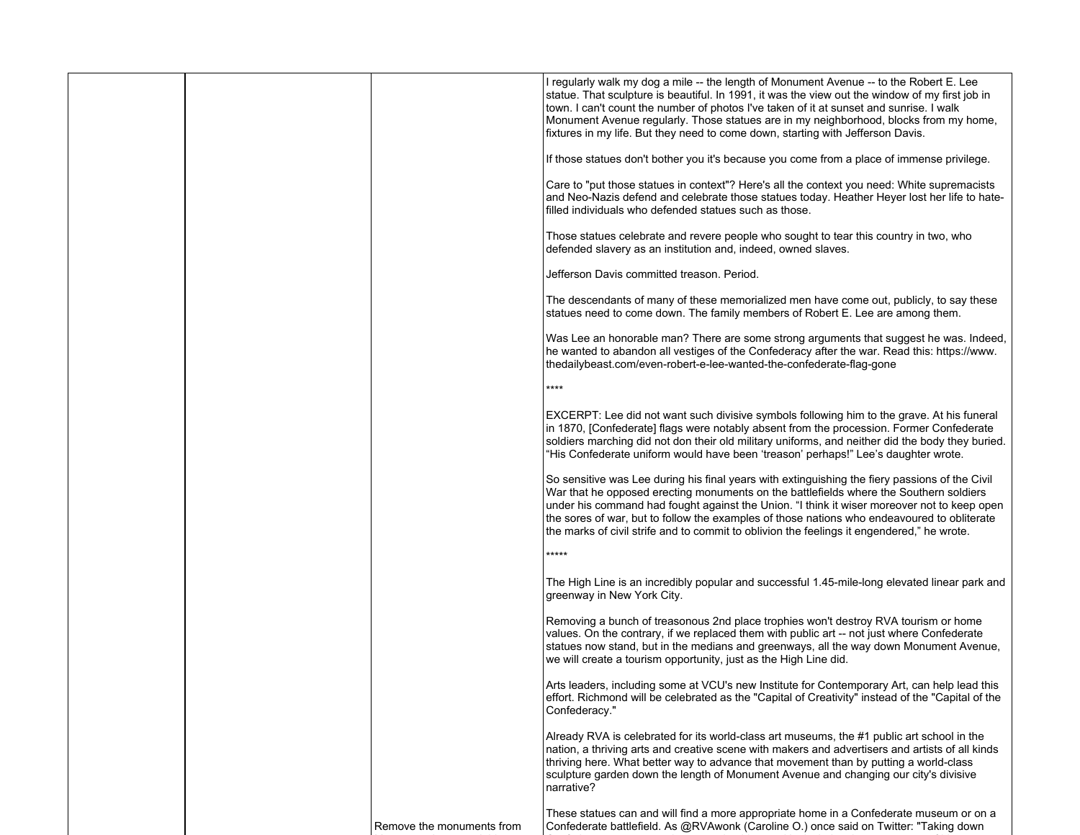|                           | I regularly walk my dog a mile -- the length of Monument Avenue -- to the Robert E. Lee<br>statue. That sculpture is beautiful. In 1991, it was the view out the window of my first job in<br>town. I can't count the number of photos I've taken of it at sunset and sunrise. I walk<br>Monument Avenue regularly. Those statues are in my neighborhood, blocks from my home,<br>fixtures in my life. But they need to come down, starting with Jefferson Davis.                    |
|---------------------------|--------------------------------------------------------------------------------------------------------------------------------------------------------------------------------------------------------------------------------------------------------------------------------------------------------------------------------------------------------------------------------------------------------------------------------------------------------------------------------------|
|                           | If those statues don't bother you it's because you come from a place of immense privilege.                                                                                                                                                                                                                                                                                                                                                                                           |
|                           | Care to "put those statues in context"? Here's all the context you need: White supremacists<br>and Neo-Nazis defend and celebrate those statues today. Heather Heyer lost her life to hate-<br>filled individuals who defended statues such as those.                                                                                                                                                                                                                                |
|                           | Those statues celebrate and revere people who sought to tear this country in two, who<br>defended slavery as an institution and, indeed, owned slaves.                                                                                                                                                                                                                                                                                                                               |
|                           | Jefferson Davis committed treason. Period.                                                                                                                                                                                                                                                                                                                                                                                                                                           |
|                           | The descendants of many of these memorialized men have come out, publicly, to say these<br>statues need to come down. The family members of Robert E. Lee are among them.                                                                                                                                                                                                                                                                                                            |
|                           | Was Lee an honorable man? There are some strong arguments that suggest he was. Indeed,<br>he wanted to abandon all vestiges of the Confederacy after the war. Read this: https://www.<br>thedailybeast.com/even-robert-e-lee-wanted-the-confederate-flag-gone                                                                                                                                                                                                                        |
|                           | ****                                                                                                                                                                                                                                                                                                                                                                                                                                                                                 |
|                           | EXCERPT: Lee did not want such divisive symbols following him to the grave. At his funeral<br>in 1870, [Confederate] flags were notably absent from the procession. Former Confederate<br>soldiers marching did not don their old military uniforms, and neither did the body they buried.<br>"His Confederate uniform would have been 'treason' perhaps!" Lee's daughter wrote.                                                                                                     |
|                           | So sensitive was Lee during his final years with extinguishing the fiery passions of the Civil<br>War that he opposed erecting monuments on the battlefields where the Southern soldiers<br>under his command had fought against the Union. "I think it wiser moreover not to keep open<br>the sores of war, but to follow the examples of those nations who endeavoured to obliterate<br>the marks of civil strife and to commit to oblivion the feelings it engendered," he wrote. |
|                           | *****                                                                                                                                                                                                                                                                                                                                                                                                                                                                                |
|                           | The High Line is an incredibly popular and successful 1.45-mile-long elevated linear park and<br>greenway in New York City.                                                                                                                                                                                                                                                                                                                                                          |
|                           | Removing a bunch of treasonous 2nd place trophies won't destroy RVA tourism or home<br>values. On the contrary, if we replaced them with public art -- not just where Confederate<br>statues now stand, but in the medians and greenways, all the way down Monument Avenue,<br>we will create a tourism opportunity, just as the High Line did.                                                                                                                                      |
|                           | Arts leaders, including some at VCU's new Institute for Contemporary Art, can help lead this<br>effort. Richmond will be celebrated as the "Capital of Creativity" instead of the "Capital of the<br>Confederacy."                                                                                                                                                                                                                                                                   |
|                           | Already RVA is celebrated for its world-class art museums, the #1 public art school in the<br>nation, a thriving arts and creative scene with makers and advertisers and artists of all kinds<br>thriving here. What better way to advance that movement than by putting a world-class<br>sculpture garden down the length of Monument Avenue and changing our city's divisive<br>narrative?                                                                                         |
| Remove the monuments from | These statues can and will find a more appropriate home in a Confederate museum or on a<br>Confederate battlefield. As @RVAwonk (Caroline O.) once said on Twitter: "Taking down                                                                                                                                                                                                                                                                                                     |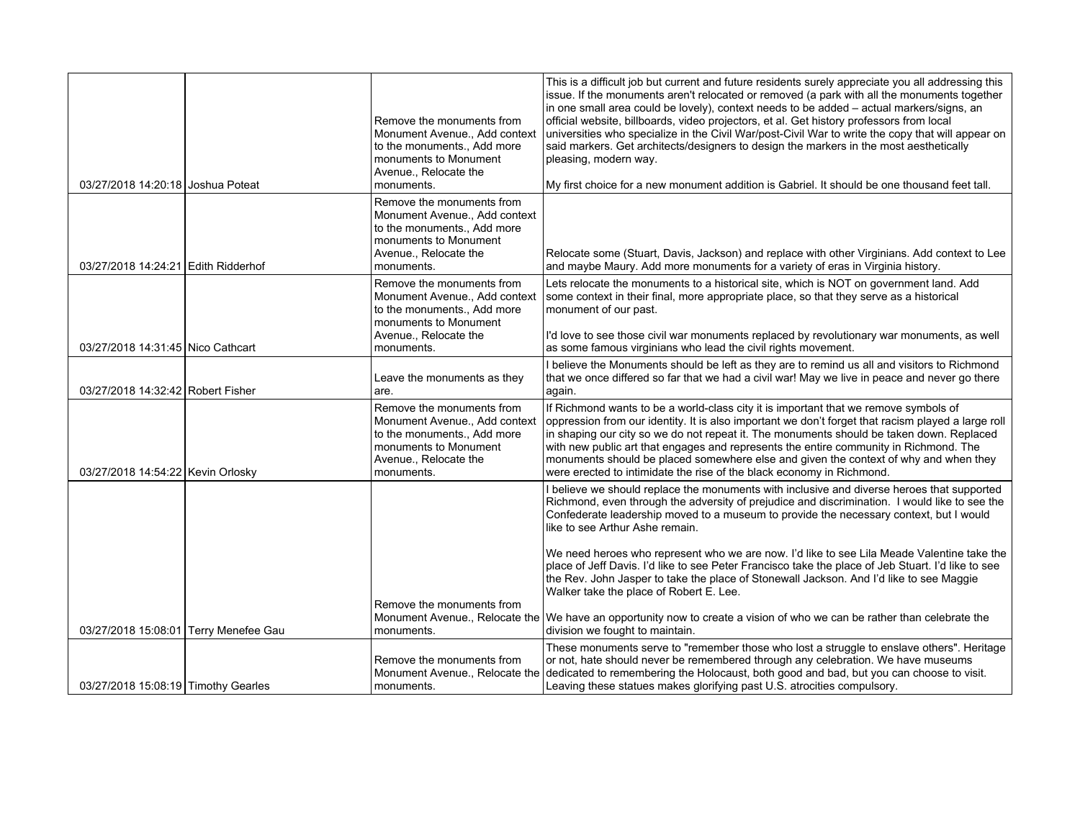| 03/27/2018 14:20:18 Joshua Poteat     | Remove the monuments from<br>Monument Avenue., Add context<br>to the monuments., Add more<br>monuments to Monument<br>Avenue., Relocate the<br>monuments. | This is a difficult job but current and future residents surely appreciate you all addressing this<br>issue. If the monuments aren't relocated or removed (a park with all the monuments together<br>in one small area could be lovely), context needs to be added - actual markers/signs, an<br>official website, billboards, video projectors, et al. Get history professors from local<br>universities who specialize in the Civil War/post-Civil War to write the copy that will appear on<br>said markers. Get architects/designers to design the markers in the most aesthetically<br>pleasing, modern way.<br>My first choice for a new monument addition is Gabriel. It should be one thousand feet tall. |
|---------------------------------------|-----------------------------------------------------------------------------------------------------------------------------------------------------------|-------------------------------------------------------------------------------------------------------------------------------------------------------------------------------------------------------------------------------------------------------------------------------------------------------------------------------------------------------------------------------------------------------------------------------------------------------------------------------------------------------------------------------------------------------------------------------------------------------------------------------------------------------------------------------------------------------------------|
|                                       | Remove the monuments from                                                                                                                                 |                                                                                                                                                                                                                                                                                                                                                                                                                                                                                                                                                                                                                                                                                                                   |
| 03/27/2018 14:24:21 Edith Ridderhof   | Monument Avenue., Add context<br>to the monuments Add more<br>monuments to Monument<br>Avenue., Relocate the<br>monuments.                                | Relocate some (Stuart, Davis, Jackson) and replace with other Virginians. Add context to Lee<br>and maybe Maury. Add more monuments for a variety of eras in Virginia history.                                                                                                                                                                                                                                                                                                                                                                                                                                                                                                                                    |
|                                       | Remove the monuments from<br>Monument Avenue., Add context<br>to the monuments., Add more<br>monuments to Monument<br>Avenue., Relocate the               | Lets relocate the monuments to a historical site, which is NOT on government land. Add<br>some context in their final, more appropriate place, so that they serve as a historical<br>monument of our past.<br>I'd love to see those civil war monuments replaced by revolutionary war monuments, as well                                                                                                                                                                                                                                                                                                                                                                                                          |
| 03/27/2018 14:31:45 Nico Cathcart     | monuments.                                                                                                                                                | as some famous virginians who lead the civil rights movement.                                                                                                                                                                                                                                                                                                                                                                                                                                                                                                                                                                                                                                                     |
| 03/27/2018 14:32:42 Robert Fisher     | Leave the monuments as they<br>are.                                                                                                                       | I believe the Monuments should be left as they are to remind us all and visitors to Richmond<br>that we once differed so far that we had a civil war! May we live in peace and never go there<br>again.                                                                                                                                                                                                                                                                                                                                                                                                                                                                                                           |
| 03/27/2018 14:54:22 Kevin Orlosky     | Remove the monuments from<br>Monument Avenue., Add context<br>to the monuments., Add more<br>monuments to Monument<br>Avenue., Relocate the<br>monuments. | If Richmond wants to be a world-class city it is important that we remove symbols of<br>oppression from our identity. It is also important we don't forget that racism played a large roll<br>in shaping our city so we do not repeat it. The monuments should be taken down. Replaced<br>with new public art that engages and represents the entire community in Richmond. The<br>monuments should be placed somewhere else and given the context of why and when they<br>were erected to intimidate the rise of the black economy in Richmond.                                                                                                                                                                  |
|                                       |                                                                                                                                                           | I believe we should replace the monuments with inclusive and diverse heroes that supported<br>Richmond, even through the adversity of prejudice and discrimination. I would like to see the<br>Confederate leadership moved to a museum to provide the necessary context, but I would<br>like to see Arthur Ashe remain.                                                                                                                                                                                                                                                                                                                                                                                          |
|                                       |                                                                                                                                                           | We need heroes who represent who we are now. I'd like to see Lila Meade Valentine take the<br>place of Jeff Davis. I'd like to see Peter Francisco take the place of Jeb Stuart. I'd like to see<br>the Rev. John Jasper to take the place of Stonewall Jackson. And I'd like to see Maggie<br>Walker take the place of Robert E. Lee.                                                                                                                                                                                                                                                                                                                                                                            |
|                                       | Remove the monuments from<br>Monument Avenue., Relocate the                                                                                               | We have an opportunity now to create a vision of who we can be rather than celebrate the                                                                                                                                                                                                                                                                                                                                                                                                                                                                                                                                                                                                                          |
| 03/27/2018 15:08:01 Terry Menefee Gau | monuments.                                                                                                                                                | division we fought to maintain.                                                                                                                                                                                                                                                                                                                                                                                                                                                                                                                                                                                                                                                                                   |
|                                       |                                                                                                                                                           | These monuments serve to "remember those who lost a struggle to enslave others". Heritage                                                                                                                                                                                                                                                                                                                                                                                                                                                                                                                                                                                                                         |
| 03/27/2018 15:08:19 Timothy Gearles   | Remove the monuments from<br>Monument Avenue., Relocate the<br>monuments.                                                                                 | or not, hate should never be remembered through any celebration. We have museums<br>dedicated to remembering the Holocaust, both good and bad, but you can choose to visit.<br>Leaving these statues makes glorifying past U.S. atrocities compulsory.                                                                                                                                                                                                                                                                                                                                                                                                                                                            |
|                                       |                                                                                                                                                           |                                                                                                                                                                                                                                                                                                                                                                                                                                                                                                                                                                                                                                                                                                                   |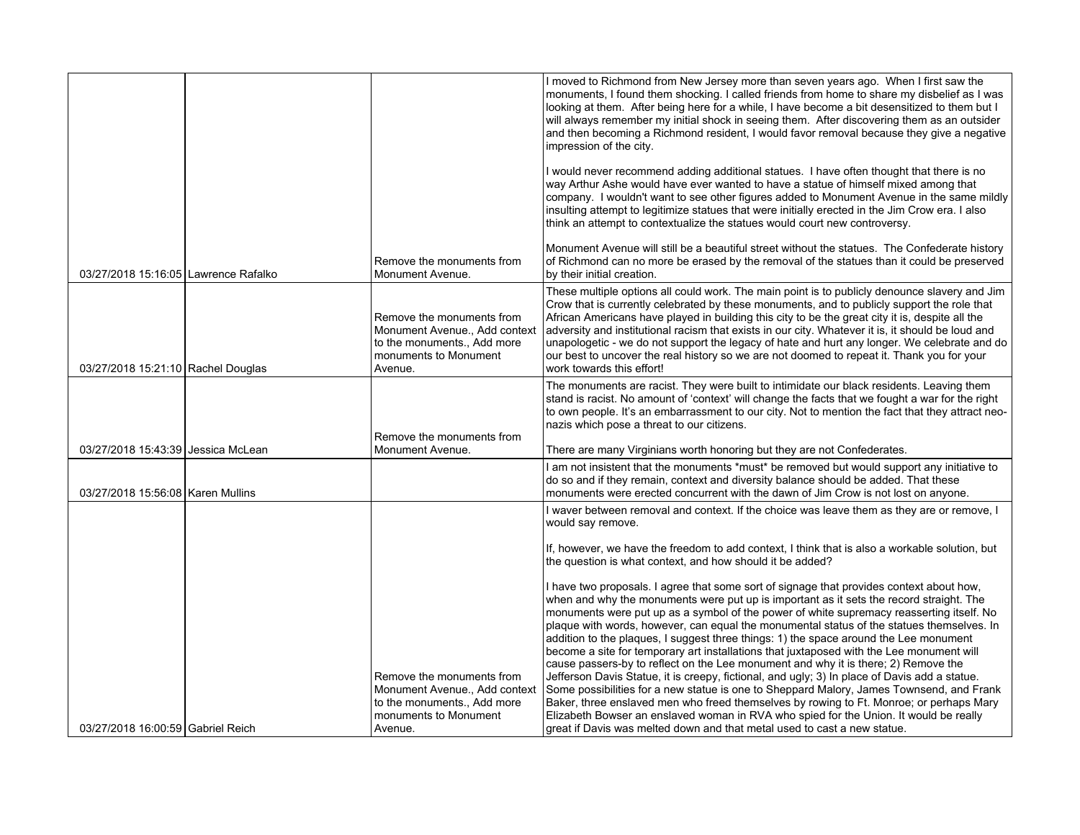|                                      |                                                                                                                               | I moved to Richmond from New Jersey more than seven years ago. When I first saw the<br>monuments. I found them shocking. I called friends from home to share my disbelief as I was<br>looking at them. After being here for a while, I have become a bit desensitized to them but I<br>will always remember my initial shock in seeing them. After discovering them as an outsider<br>and then becoming a Richmond resident, I would favor removal because they give a negative<br>impression of the city.                                                                                                                                                                                                                                               |
|--------------------------------------|-------------------------------------------------------------------------------------------------------------------------------|----------------------------------------------------------------------------------------------------------------------------------------------------------------------------------------------------------------------------------------------------------------------------------------------------------------------------------------------------------------------------------------------------------------------------------------------------------------------------------------------------------------------------------------------------------------------------------------------------------------------------------------------------------------------------------------------------------------------------------------------------------|
|                                      |                                                                                                                               | I would never recommend adding additional statues. I have often thought that there is no<br>way Arthur Ashe would have ever wanted to have a statue of himself mixed among that<br>company. I wouldn't want to see other figures added to Monument Avenue in the same mildly<br>insulting attempt to legitimize statues that were initially erected in the Jim Crow era. I also<br>think an attempt to contextualize the statues would court new controversy.                                                                                                                                                                                                                                                                                            |
| 03/27/2018 15:16:05 Lawrence Rafalko | Remove the monuments from<br>Monument Avenue.                                                                                 | Monument Avenue will still be a beautiful street without the statues. The Confederate history<br>of Richmond can no more be erased by the removal of the statues than it could be preserved<br>by their initial creation.                                                                                                                                                                                                                                                                                                                                                                                                                                                                                                                                |
| 03/27/2018 15:21:10 Rachel Douglas   | Remove the monuments from<br>Monument Avenue., Add context<br>to the monuments., Add more<br>monuments to Monument<br>Avenue. | These multiple options all could work. The main point is to publicly denounce slavery and Jim<br>Crow that is currently celebrated by these monuments, and to publicly support the role that<br>African Americans have played in building this city to be the great city it is, despite all the<br>adversity and institutional racism that exists in our city. Whatever it is, it should be loud and<br>unapologetic - we do not support the legacy of hate and hurt any longer. We celebrate and do<br>our best to uncover the real history so we are not doomed to repeat it. Thank you for your<br>work towards this effort!                                                                                                                          |
|                                      | Remove the monuments from                                                                                                     | The monuments are racist. They were built to intimidate our black residents. Leaving them<br>stand is racist. No amount of 'context' will change the facts that we fought a war for the right<br>to own people. It's an embarrassment to our city. Not to mention the fact that they attract neo-<br>nazis which pose a threat to our citizens.                                                                                                                                                                                                                                                                                                                                                                                                          |
| 03/27/2018 15:43:39 Jessica McLean   | Monument Avenue.                                                                                                              | There are many Virginians worth honoring but they are not Confederates.                                                                                                                                                                                                                                                                                                                                                                                                                                                                                                                                                                                                                                                                                  |
| 03/27/2018 15:56:08   Karen Mullins  |                                                                                                                               | I am not insistent that the monuments *must* be removed but would support any initiative to<br>do so and if they remain, context and diversity balance should be added. That these<br>monuments were erected concurrent with the dawn of Jim Crow is not lost on anyone.                                                                                                                                                                                                                                                                                                                                                                                                                                                                                 |
|                                      |                                                                                                                               | I waver between removal and context. If the choice was leave them as they are or remove, I<br>would say remove.                                                                                                                                                                                                                                                                                                                                                                                                                                                                                                                                                                                                                                          |
|                                      |                                                                                                                               | If, however, we have the freedom to add context, I think that is also a workable solution, but<br>the question is what context, and how should it be added?                                                                                                                                                                                                                                                                                                                                                                                                                                                                                                                                                                                              |
|                                      | Remove the monuments from                                                                                                     | I have two proposals. I agree that some sort of signage that provides context about how,<br>when and why the monuments were put up is important as it sets the record straight. The<br>monuments were put up as a symbol of the power of white supremacy reasserting itself. No<br>plaque with words, however, can equal the monumental status of the statues themselves. In<br>addition to the plaques, I suggest three things: 1) the space around the Lee monument<br>become a site for temporary art installations that juxtaposed with the Lee monument will<br>cause passers-by to reflect on the Lee monument and why it is there; 2) Remove the<br>Jefferson Davis Statue, it is creepy, fictional, and ugly; 3) In place of Davis add a statue. |
| 03/27/2018 16:00:59 Gabriel Reich    | Monument Avenue., Add context<br>to the monuments., Add more<br>monuments to Monument<br>Avenue.                              | Some possibilities for a new statue is one to Sheppard Malory, James Townsend, and Frank<br>Baker, three enslaved men who freed themselves by rowing to Ft. Monroe; or perhaps Mary<br>Elizabeth Bowser an enslaved woman in RVA who spied for the Union. It would be really<br>great if Davis was melted down and that metal used to cast a new statue.                                                                                                                                                                                                                                                                                                                                                                                                 |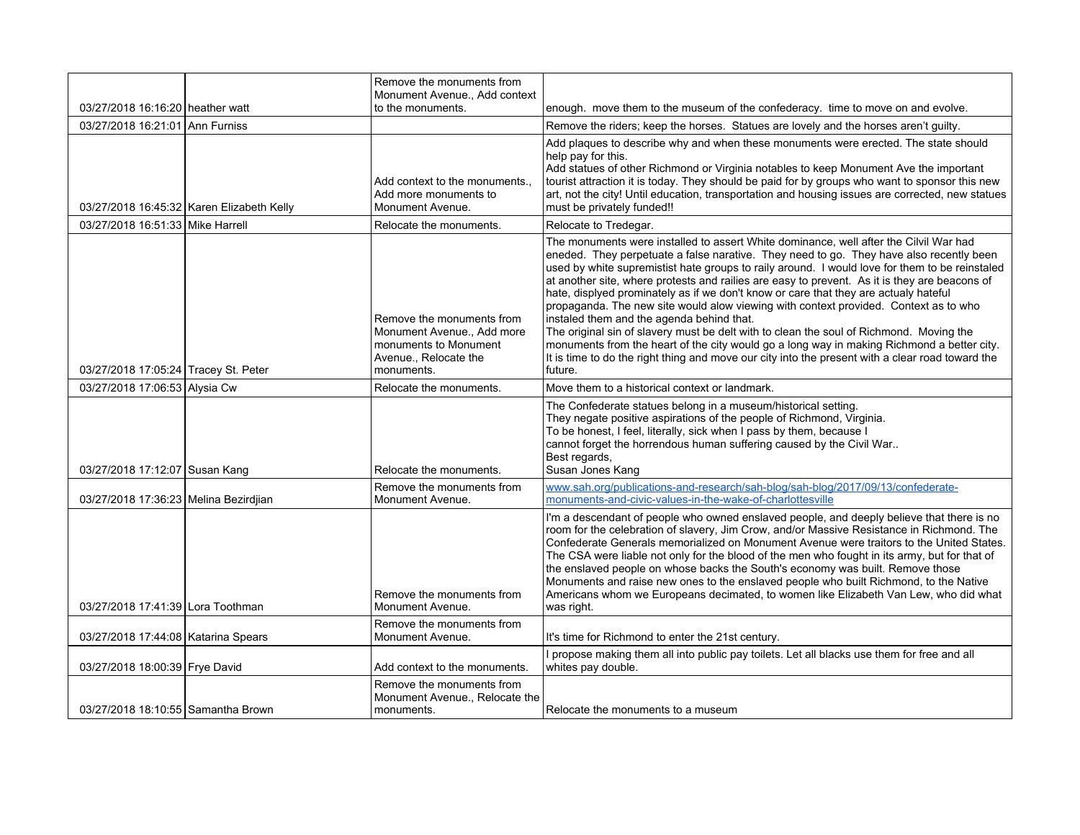|                                       |                                           | Remove the monuments from<br>Monument Avenue Add context                                                              |                                                                                                                                                                                                                                                                                                                                                                                                                                                                                                                                                                                                                                                                                                                                                                                                                                                                                                                          |
|---------------------------------------|-------------------------------------------|-----------------------------------------------------------------------------------------------------------------------|--------------------------------------------------------------------------------------------------------------------------------------------------------------------------------------------------------------------------------------------------------------------------------------------------------------------------------------------------------------------------------------------------------------------------------------------------------------------------------------------------------------------------------------------------------------------------------------------------------------------------------------------------------------------------------------------------------------------------------------------------------------------------------------------------------------------------------------------------------------------------------------------------------------------------|
| 03/27/2018 16:16:20   heather watt    |                                           | to the monuments.                                                                                                     | enough. move them to the museum of the confederacy. time to move on and evolve.                                                                                                                                                                                                                                                                                                                                                                                                                                                                                                                                                                                                                                                                                                                                                                                                                                          |
| 03/27/2018 16:21:01 Ann Furniss       |                                           |                                                                                                                       | Remove the riders; keep the horses. Statues are lovely and the horses aren't guilty.                                                                                                                                                                                                                                                                                                                                                                                                                                                                                                                                                                                                                                                                                                                                                                                                                                     |
|                                       | 03/27/2018 16:45:32 Karen Elizabeth Kelly | Add context to the monuments<br>Add more monuments to<br>Monument Avenue.                                             | Add plaques to describe why and when these monuments were erected. The state should<br>help pay for this.<br>Add statues of other Richmond or Virginia notables to keep Monument Ave the important<br>tourist attraction it is today. They should be paid for by groups who want to sponsor this new<br>art, not the city! Until education, transportation and housing issues are corrected, new statues<br>must be privately funded!!                                                                                                                                                                                                                                                                                                                                                                                                                                                                                   |
| 03/27/2018 16:51:33 Mike Harrell      |                                           | Relocate the monuments.                                                                                               | Relocate to Tredegar.                                                                                                                                                                                                                                                                                                                                                                                                                                                                                                                                                                                                                                                                                                                                                                                                                                                                                                    |
| 03/27/2018 17:05:24 Tracey St. Peter  |                                           | Remove the monuments from<br>Monument Avenue Add more<br>monuments to Monument<br>Avenue., Relocate the<br>monuments. | The monuments were installed to assert White dominance, well after the Cilvil War had<br>eneded. They perpetuate a false narative. They need to go. They have also recently been<br>used by white supremistist hate groups to raily around. I would love for them to be reinstaled<br>at another site, where protests and railies are easy to prevent. As it is they are beacons of<br>hate, displyed prominately as if we don't know or care that they are actualy hateful<br>propaganda. The new site would alow viewing with context provided. Context as to who<br>instaled them and the agenda behind that.<br>The original sin of slavery must be delt with to clean the soul of Richmond. Moving the<br>monuments from the heart of the city would go a long way in making Richmond a better city.<br>It is time to do the right thing and move our city into the present with a clear road toward the<br>future. |
| 03/27/2018 17:06:53 Alysia Cw         |                                           | Relocate the monuments.                                                                                               | Move them to a historical context or landmark.                                                                                                                                                                                                                                                                                                                                                                                                                                                                                                                                                                                                                                                                                                                                                                                                                                                                           |
| 03/27/2018 17:12:07 Susan Kang        |                                           | Relocate the monuments.                                                                                               | The Confederate statues belong in a museum/historical setting.<br>They negate positive aspirations of the people of Richmond, Virginia.<br>To be honest, I feel, literally, sick when I pass by them, because I<br>cannot forget the horrendous human suffering caused by the Civil War<br>Best regards,<br>Susan Jones Kang                                                                                                                                                                                                                                                                                                                                                                                                                                                                                                                                                                                             |
| 03/27/2018 17:36:23 Melina Bezirdijan |                                           | Remove the monuments from<br>Monument Avenue.                                                                         | www.sah.org/publications-and-research/sah-blog/sah-blog/2017/09/13/confederate-<br>monuments-and-civic-values-in-the-wake-of-charlottesville                                                                                                                                                                                                                                                                                                                                                                                                                                                                                                                                                                                                                                                                                                                                                                             |
| 03/27/2018 17:41:39 Lora Toothman     |                                           | Remove the monuments from<br>Monument Avenue.                                                                         | I'm a descendant of people who owned enslaved people, and deeply believe that there is no<br>room for the celebration of slavery, Jim Crow, and/or Massive Resistance in Richmond. The<br>Confederate Generals memorialized on Monument Avenue were traitors to the United States.<br>The CSA were liable not only for the blood of the men who fought in its army, but for that of<br>the enslaved people on whose backs the South's economy was built. Remove those<br>Monuments and raise new ones to the enslaved people who built Richmond, to the Native<br>Americans whom we Europeans decimated, to women like Elizabeth Van Lew, who did what<br>was right.                                                                                                                                                                                                                                                     |
| 03/27/2018 17:44:08   Katarina Spears |                                           | Remove the monuments from<br>Monument Avenue.                                                                         | It's time for Richmond to enter the 21st century.                                                                                                                                                                                                                                                                                                                                                                                                                                                                                                                                                                                                                                                                                                                                                                                                                                                                        |
| 03/27/2018 18:00:39 Frye David        |                                           | Add context to the monuments.                                                                                         | I propose making them all into public pay toilets. Let all blacks use them for free and all<br>whites pay double.                                                                                                                                                                                                                                                                                                                                                                                                                                                                                                                                                                                                                                                                                                                                                                                                        |
| 03/27/2018 18:10:55 Samantha Brown    |                                           | Remove the monuments from<br>Monument Avenue., Relocate the<br>monuments.                                             | Relocate the monuments to a museum                                                                                                                                                                                                                                                                                                                                                                                                                                                                                                                                                                                                                                                                                                                                                                                                                                                                                       |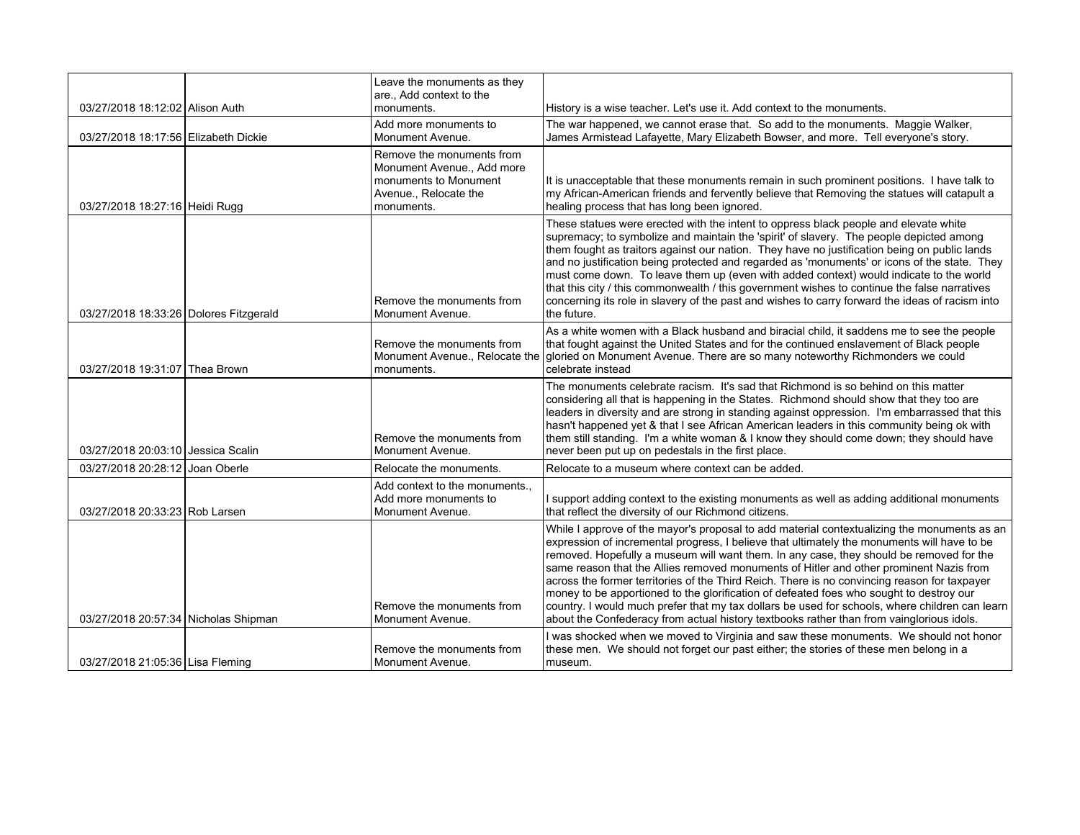|                                        | Leave the monuments as they<br>are., Add context to the                                                               |                                                                                                                                                                                                                                                                                                                                                                                                                                                                                                                                                                                                                                                                                                                                                                          |
|----------------------------------------|-----------------------------------------------------------------------------------------------------------------------|--------------------------------------------------------------------------------------------------------------------------------------------------------------------------------------------------------------------------------------------------------------------------------------------------------------------------------------------------------------------------------------------------------------------------------------------------------------------------------------------------------------------------------------------------------------------------------------------------------------------------------------------------------------------------------------------------------------------------------------------------------------------------|
| 03/27/2018 18:12:02 Alison Auth        | monuments.                                                                                                            | History is a wise teacher. Let's use it. Add context to the monuments.                                                                                                                                                                                                                                                                                                                                                                                                                                                                                                                                                                                                                                                                                                   |
| 03/27/2018 18:17:56 Elizabeth Dickie   | Add more monuments to<br>Monument Avenue.                                                                             | The war happened, we cannot erase that. So add to the monuments. Maggie Walker,<br>James Armistead Lafayette, Mary Elizabeth Bowser, and more. Tell everyone's story.                                                                                                                                                                                                                                                                                                                                                                                                                                                                                                                                                                                                    |
| 03/27/2018 18:27:16 Heidi Rugg         | Remove the monuments from<br>Monument Avenue Add more<br>monuments to Monument<br>Avenue., Relocate the<br>monuments. | It is unacceptable that these monuments remain in such prominent positions. I have talk to<br>my African-American friends and fervently believe that Removing the statues will catapult a<br>healing process that has long been ignored.                                                                                                                                                                                                                                                                                                                                                                                                                                                                                                                                 |
| 03/27/2018 18:33:26 Dolores Fitzgerald | Remove the monuments from<br>Monument Avenue.                                                                         | These statues were erected with the intent to oppress black people and elevate white<br>supremacy; to symbolize and maintain the 'spirit' of slavery. The people depicted among<br>them fought as traitors against our nation. They have no justification being on public lands<br>and no justification being protected and regarded as 'monuments' or icons of the state. They<br>must come down. To leave them up (even with added context) would indicate to the world<br>that this city / this commonwealth / this government wishes to continue the false narratives<br>concerning its role in slavery of the past and wishes to carry forward the ideas of racism into<br>the future.                                                                              |
| 03/27/2018 19:31:07 Thea Brown         | Remove the monuments from<br>Monument Avenue., Relocate the<br>monuments.                                             | As a white women with a Black husband and biracial child, it saddens me to see the people<br>that fought against the United States and for the continued enslavement of Black people<br>gloried on Monument Avenue. There are so many noteworthy Richmonders we could<br>celebrate instead                                                                                                                                                                                                                                                                                                                                                                                                                                                                               |
| 03/27/2018 20:03:10 Jessica Scalin     | Remove the monuments from<br>Monument Avenue.                                                                         | The monuments celebrate racism. It's sad that Richmond is so behind on this matter<br>considering all that is happening in the States. Richmond should show that they too are<br>leaders in diversity and are strong in standing against oppression. I'm embarrassed that this<br>hasn't happened yet & that I see African American leaders in this community being ok with<br>them still standing. I'm a white woman & I know they should come down; they should have<br>never been put up on pedestals in the first place.                                                                                                                                                                                                                                             |
| 03/27/2018 20:28:12 Joan Oberle        | Relocate the monuments.                                                                                               | Relocate to a museum where context can be added.                                                                                                                                                                                                                                                                                                                                                                                                                                                                                                                                                                                                                                                                                                                         |
| 03/27/2018 20:33:23 Rob Larsen         | Add context to the monuments<br>Add more monuments to<br>Monument Avenue.                                             | I support adding context to the existing monuments as well as adding additional monuments<br>that reflect the diversity of our Richmond citizens.                                                                                                                                                                                                                                                                                                                                                                                                                                                                                                                                                                                                                        |
| 03/27/2018 20:57:34 Nicholas Shipman   | Remove the monuments from<br>Monument Avenue.                                                                         | While I approve of the mayor's proposal to add material contextualizing the monuments as an<br>expression of incremental progress, I believe that ultimately the monuments will have to be<br>removed. Hopefully a museum will want them. In any case, they should be removed for the<br>same reason that the Allies removed monuments of Hitler and other prominent Nazis from<br>across the former territories of the Third Reich. There is no convincing reason for taxpayer<br>money to be apportioned to the glorification of defeated foes who sought to destroy our<br>country. I would much prefer that my tax dollars be used for schools, where children can learn<br>about the Confederacy from actual history textbooks rather than from vainglorious idols. |
| 03/27/2018 21:05:36 Lisa Fleming       | Remove the monuments from<br>Monument Avenue.                                                                         | I was shocked when we moved to Virginia and saw these monuments. We should not honor<br>these men. We should not forget our past either; the stories of these men belong in a<br>museum.                                                                                                                                                                                                                                                                                                                                                                                                                                                                                                                                                                                 |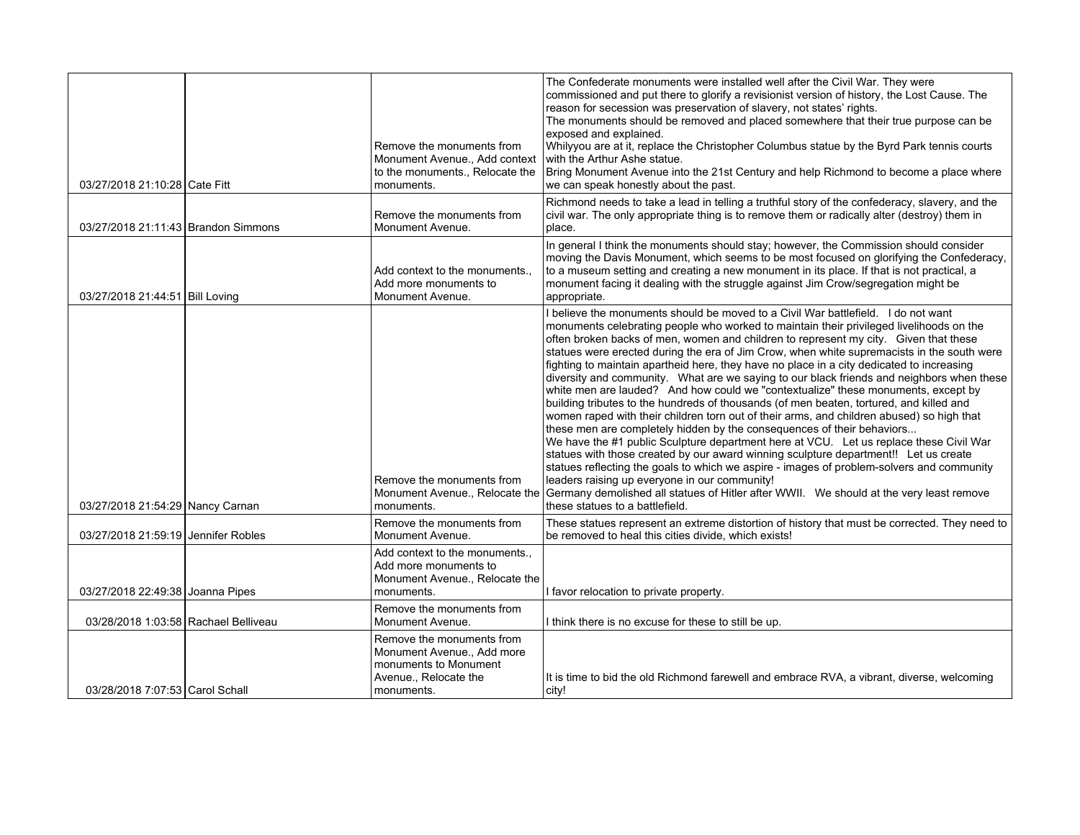| 03/27/2018 21:10:28 Cate Fitt        | Remove the monuments from<br>Monument Avenue., Add context<br>to the monuments., Relocate the<br>monuments.             | The Confederate monuments were installed well after the Civil War. They were<br>commissioned and put there to glorify a revisionist version of history, the Lost Cause. The<br>reason for secession was preservation of slavery, not states' rights.<br>The monuments should be removed and placed somewhere that their true purpose can be<br>exposed and explained.<br>Whilyyou are at it, replace the Christopher Columbus statue by the Byrd Park tennis courts<br>with the Arthur Ashe statue.<br>Bring Monument Avenue into the 21st Century and help Richmond to become a place where<br>we can speak honestly about the past.                                                                                                                                                                                                                                                                                                                                                                                                                                                                                                                                                                                                                                                                                                                                             |
|--------------------------------------|-------------------------------------------------------------------------------------------------------------------------|-----------------------------------------------------------------------------------------------------------------------------------------------------------------------------------------------------------------------------------------------------------------------------------------------------------------------------------------------------------------------------------------------------------------------------------------------------------------------------------------------------------------------------------------------------------------------------------------------------------------------------------------------------------------------------------------------------------------------------------------------------------------------------------------------------------------------------------------------------------------------------------------------------------------------------------------------------------------------------------------------------------------------------------------------------------------------------------------------------------------------------------------------------------------------------------------------------------------------------------------------------------------------------------------------------------------------------------------------------------------------------------|
| 03/27/2018 21:11:43 Brandon Simmons  | Remove the monuments from<br>Monument Avenue.                                                                           | Richmond needs to take a lead in telling a truthful story of the confederacy, slavery, and the<br>civil war. The only appropriate thing is to remove them or radically alter (destroy) them in<br>place.                                                                                                                                                                                                                                                                                                                                                                                                                                                                                                                                                                                                                                                                                                                                                                                                                                                                                                                                                                                                                                                                                                                                                                          |
| 03/27/2018 21:44:51 Bill Loving      | Add context to the monuments<br>Add more monuments to<br>Monument Avenue.                                               | In general I think the monuments should stay; however, the Commission should consider<br>moving the Davis Monument, which seems to be most focused on glorifying the Confederacy,<br>to a museum setting and creating a new monument in its place. If that is not practical, a<br>monument facing it dealing with the struggle against Jim Crow/segregation might be<br>appropriate.                                                                                                                                                                                                                                                                                                                                                                                                                                                                                                                                                                                                                                                                                                                                                                                                                                                                                                                                                                                              |
| 03/27/2018 21:54:29 Nancy Carnan     | Remove the monuments from<br>Monument Avenue., Relocate the<br>monuments.                                               | I believe the monuments should be moved to a Civil War battlefield. I do not want<br>monuments celebrating people who worked to maintain their privileged livelihoods on the<br>often broken backs of men, women and children to represent my city. Given that these<br>statues were erected during the era of Jim Crow, when white supremacists in the south were<br>fighting to maintain apartheid here, they have no place in a city dedicated to increasing<br>diversity and community. What are we saying to our black friends and neighbors when these<br>white men are lauded? And how could we "contextualize" these monuments, except by<br>building tributes to the hundreds of thousands (of men beaten, tortured, and killed and<br>women raped with their children torn out of their arms, and children abused) so high that<br>these men are completely hidden by the consequences of their behaviors<br>We have the #1 public Sculpture department here at VCU. Let us replace these Civil War<br>statues with those created by our award winning sculpture department!! Let us create<br>statues reflecting the goals to which we aspire - images of problem-solvers and community<br>leaders raising up everyone in our community!<br>Germany demolished all statues of Hitler after WWII. We should at the very least remove<br>these statues to a battlefield. |
| 03/27/2018 21:59:19 Jennifer Robles  | Remove the monuments from<br>Monument Avenue.                                                                           | These statues represent an extreme distortion of history that must be corrected. They need to<br>be removed to heal this cities divide, which exists!                                                                                                                                                                                                                                                                                                                                                                                                                                                                                                                                                                                                                                                                                                                                                                                                                                                                                                                                                                                                                                                                                                                                                                                                                             |
| 03/27/2018 22:49:38 Joanna Pipes     | Add context to the monuments.,<br>Add more monuments to<br>Monument Avenue., Relocate the<br>monuments.                 | I favor relocation to private property.                                                                                                                                                                                                                                                                                                                                                                                                                                                                                                                                                                                                                                                                                                                                                                                                                                                                                                                                                                                                                                                                                                                                                                                                                                                                                                                                           |
| 03/28/2018 1:03:58 Rachael Belliveau | Remove the monuments from<br>Monument Avenue.                                                                           | I think there is no excuse for these to still be up.                                                                                                                                                                                                                                                                                                                                                                                                                                                                                                                                                                                                                                                                                                                                                                                                                                                                                                                                                                                                                                                                                                                                                                                                                                                                                                                              |
| 03/28/2018 7:07:53 Carol Schall      | Remove the monuments from<br>Monument Avenue., Add more<br>monuments to Monument<br>Avenue., Relocate the<br>monuments. | It is time to bid the old Richmond farewell and embrace RVA, a vibrant, diverse, welcoming<br>city!                                                                                                                                                                                                                                                                                                                                                                                                                                                                                                                                                                                                                                                                                                                                                                                                                                                                                                                                                                                                                                                                                                                                                                                                                                                                               |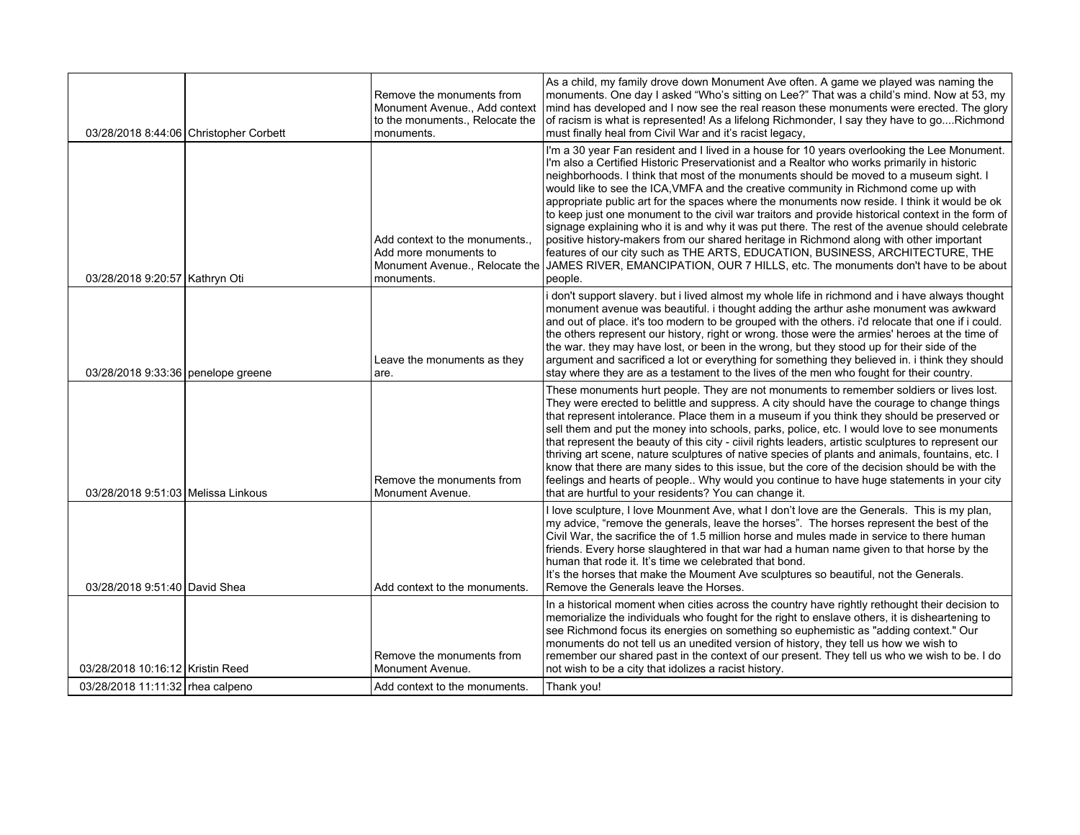|                                    | 03/28/2018 8:44:06 Christopher Corbett | Remove the monuments from<br>Monument Avenue., Add context<br>to the monuments., Relocate the<br>monuments. | As a child, my family drove down Monument Ave often. A game we played was naming the<br>monuments. One day I asked "Who's sitting on Lee?" That was a child's mind. Now at 53, my<br>mind has developed and I now see the real reason these monuments were erected. The glory<br>of racism is what is represented! As a lifelong Richmonder, I say they have to goRichmond<br>must finally heal from Civil War and it's racist legacy,                                                                                                                                                                                                                                                                                                                                                                                                                                                                                                                          |
|------------------------------------|----------------------------------------|-------------------------------------------------------------------------------------------------------------|-----------------------------------------------------------------------------------------------------------------------------------------------------------------------------------------------------------------------------------------------------------------------------------------------------------------------------------------------------------------------------------------------------------------------------------------------------------------------------------------------------------------------------------------------------------------------------------------------------------------------------------------------------------------------------------------------------------------------------------------------------------------------------------------------------------------------------------------------------------------------------------------------------------------------------------------------------------------|
| 03/28/2018 9:20:57 Kathryn Oti     |                                        | Add context to the monuments.<br>Add more monuments to<br>Monument Avenue., Relocate the<br>monuments.      | I'm a 30 year Fan resident and I lived in a house for 10 years overlooking the Lee Monument.<br>I'm also a Certified Historic Preservationist and a Realtor who works primarily in historic<br>neighborhoods. I think that most of the monuments should be moved to a museum sight. I<br>would like to see the ICA, VMFA and the creative community in Richmond come up with<br>appropriate public art for the spaces where the monuments now reside. I think it would be ok<br>to keep just one monument to the civil war traitors and provide historical context in the form of<br>signage explaining who it is and why it was put there. The rest of the avenue should celebrate<br>positive history-makers from our shared heritage in Richmond along with other important<br>features of our city such as THE ARTS, EDUCATION, BUSINESS, ARCHITECTURE, THE<br>JAMES RIVER, EMANCIPATION, OUR 7 HILLS, etc. The monuments don't have to be about<br>people. |
| 03/28/2018 9:33:36 penelope greene |                                        | Leave the monuments as they<br>are.                                                                         | i don't support slavery. but i lived almost my whole life in richmond and i have always thought<br>monument avenue was beautiful. i thought adding the arthur ashe monument was awkward<br>and out of place. it's too modern to be grouped with the others. i'd relocate that one if i could.<br>the others represent our history, right or wrong. those were the armies' heroes at the time of<br>the war. they may have lost, or been in the wrong, but they stood up for their side of the<br>argument and sacrificed a lot or everything for something they believed in. i think they should<br>stay where they are as a testament to the lives of the men who fought for their country.                                                                                                                                                                                                                                                                    |
| 03/28/2018 9:51:03 Melissa Linkous |                                        | Remove the monuments from<br>Monument Avenue.                                                               | These monuments hurt people. They are not monuments to remember soldiers or lives lost.<br>They were erected to belittle and suppress. A city should have the courage to change things<br>that represent intolerance. Place them in a museum if you think they should be preserved or<br>sell them and put the money into schools, parks, police, etc. I would love to see monuments<br>that represent the beauty of this city - ciivil rights leaders, artistic sculptures to represent our<br>thriving art scene, nature sculptures of native species of plants and animals, fountains, etc. I<br>know that there are many sides to this issue, but the core of the decision should be with the<br>feelings and hearts of people Why would you continue to have huge statements in your city<br>that are hurtful to your residents? You can change it.                                                                                                        |
| 03/28/2018 9:51:40 David Shea      |                                        | Add context to the monuments.                                                                               | I love sculpture, I love Mounment Ave, what I don't love are the Generals. This is my plan,<br>my advice, "remove the generals, leave the horses". The horses represent the best of the<br>Civil War, the sacrifice the of 1.5 million horse and mules made in service to there human<br>friends. Every horse slaughtered in that war had a human name given to that horse by the<br>human that rode it. It's time we celebrated that bond.<br>It's the horses that make the Moument Ave sculptures so beautiful, not the Generals.<br>Remove the Generals leave the Horses.                                                                                                                                                                                                                                                                                                                                                                                    |
| 03/28/2018 10:16:12 Kristin Reed   |                                        | Remove the monuments from<br>Monument Avenue.                                                               | In a historical moment when cities across the country have rightly rethought their decision to<br>memorialize the individuals who fought for the right to enslave others, it is disheartening to<br>see Richmond focus its energies on something so euphemistic as "adding context." Our<br>monuments do not tell us an unedited version of history, they tell us how we wish to<br>remember our shared past in the context of our present. They tell us who we wish to be. I do<br>not wish to be a city that idolizes a racist history.                                                                                                                                                                                                                                                                                                                                                                                                                       |
| 03/28/2018 11:11:32   rhea calpeno |                                        | Add context to the monuments.                                                                               | Thank you!                                                                                                                                                                                                                                                                                                                                                                                                                                                                                                                                                                                                                                                                                                                                                                                                                                                                                                                                                      |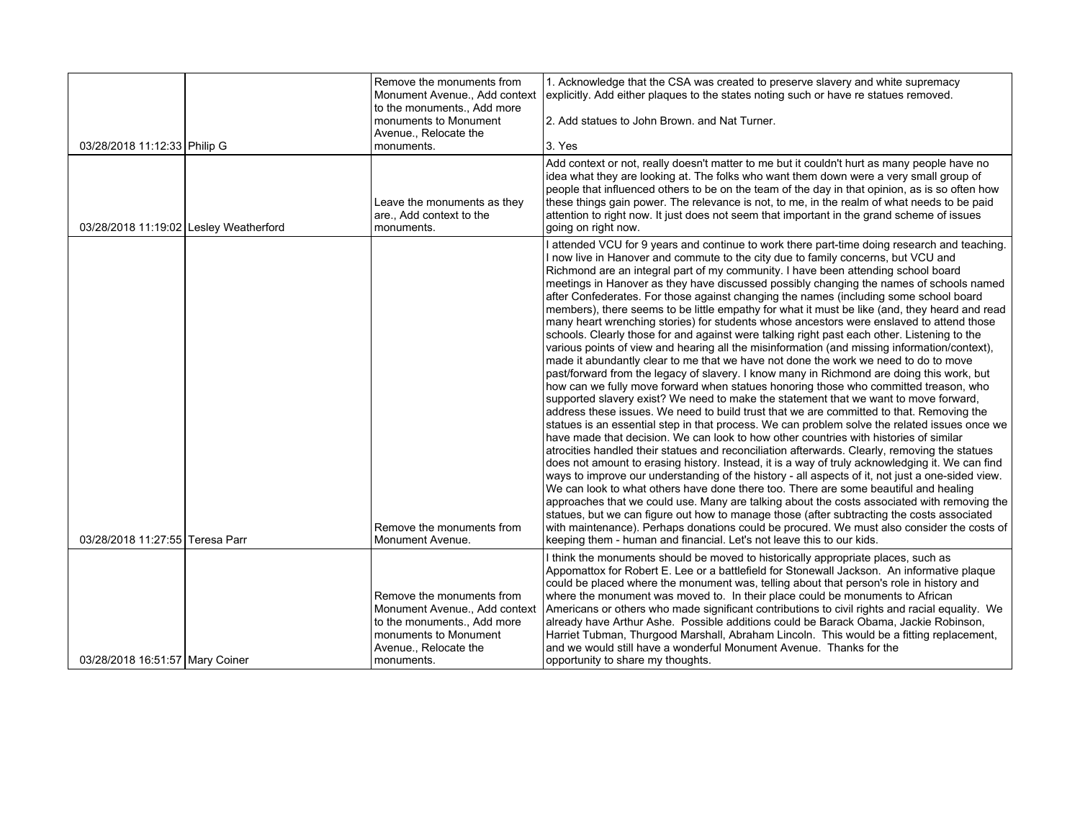|                                        | Remove the monuments from<br>Monument Avenue., Add context<br>to the monuments., Add more                                                                 | 1. Acknowledge that the CSA was created to preserve slavery and white supremacy<br>explicitly. Add either plaques to the states noting such or have re statues removed.                                                                                                                                                                                                                                                                                                                                                                                                                                                                                                                                                                                                                                                                                                                                                                                                                                                                                                                                                                                                                                                                                                                                                                                                                                                                                                                                                                                                                                                                                                                                                                                                                                                                                                                                                                                                                                                                                                                                                                                                                                     |
|----------------------------------------|-----------------------------------------------------------------------------------------------------------------------------------------------------------|-------------------------------------------------------------------------------------------------------------------------------------------------------------------------------------------------------------------------------------------------------------------------------------------------------------------------------------------------------------------------------------------------------------------------------------------------------------------------------------------------------------------------------------------------------------------------------------------------------------------------------------------------------------------------------------------------------------------------------------------------------------------------------------------------------------------------------------------------------------------------------------------------------------------------------------------------------------------------------------------------------------------------------------------------------------------------------------------------------------------------------------------------------------------------------------------------------------------------------------------------------------------------------------------------------------------------------------------------------------------------------------------------------------------------------------------------------------------------------------------------------------------------------------------------------------------------------------------------------------------------------------------------------------------------------------------------------------------------------------------------------------------------------------------------------------------------------------------------------------------------------------------------------------------------------------------------------------------------------------------------------------------------------------------------------------------------------------------------------------------------------------------------------------------------------------------------------------|
|                                        | monuments to Monument<br>Avenue., Relocate the                                                                                                            | 2. Add statues to John Brown, and Nat Turner.                                                                                                                                                                                                                                                                                                                                                                                                                                                                                                                                                                                                                                                                                                                                                                                                                                                                                                                                                                                                                                                                                                                                                                                                                                                                                                                                                                                                                                                                                                                                                                                                                                                                                                                                                                                                                                                                                                                                                                                                                                                                                                                                                               |
| 03/28/2018 11:12:33 Philip G           | monuments.                                                                                                                                                | 3. Yes                                                                                                                                                                                                                                                                                                                                                                                                                                                                                                                                                                                                                                                                                                                                                                                                                                                                                                                                                                                                                                                                                                                                                                                                                                                                                                                                                                                                                                                                                                                                                                                                                                                                                                                                                                                                                                                                                                                                                                                                                                                                                                                                                                                                      |
| 03/28/2018 11:19:02 Lesley Weatherford | Leave the monuments as they<br>are., Add context to the<br>monuments.                                                                                     | Add context or not, really doesn't matter to me but it couldn't hurt as many people have no<br>idea what they are looking at. The folks who want them down were a very small group of<br>people that influenced others to be on the team of the day in that opinion, as is so often how<br>these things gain power. The relevance is not, to me, in the realm of what needs to be paid<br>attention to right now. It just does not seem that important in the grand scheme of issues<br>going on right now.                                                                                                                                                                                                                                                                                                                                                                                                                                                                                                                                                                                                                                                                                                                                                                                                                                                                                                                                                                                                                                                                                                                                                                                                                                                                                                                                                                                                                                                                                                                                                                                                                                                                                                 |
|                                        | Remove the monuments from                                                                                                                                 | I attended VCU for 9 years and continue to work there part-time doing research and teaching.<br>I now live in Hanover and commute to the city due to family concerns, but VCU and<br>Richmond are an integral part of my community. I have been attending school board<br>meetings in Hanover as they have discussed possibly changing the names of schools named<br>after Confederates. For those against changing the names (including some school board<br>members), there seems to be little empathy for what it must be like (and, they heard and read<br>many heart wrenching stories) for students whose ancestors were enslaved to attend those<br>schools. Clearly those for and against were talking right past each other. Listening to the<br>various points of view and hearing all the misinformation (and missing information/context),<br>made it abundantly clear to me that we have not done the work we need to do to move<br>past/forward from the legacy of slavery. I know many in Richmond are doing this work, but<br>how can we fully move forward when statues honoring those who committed treason, who<br>supported slavery exist? We need to make the statement that we want to move forward,<br>address these issues. We need to build trust that we are committed to that. Removing the<br>statues is an essential step in that process. We can problem solve the related issues once we<br>have made that decision. We can look to how other countries with histories of similar<br>atrocities handled their statues and reconciliation afterwards. Clearly, removing the statues<br>does not amount to erasing history. Instead, it is a way of truly acknowledging it. We can find<br>ways to improve our understanding of the history - all aspects of it, not just a one-sided view.<br>We can look to what others have done there too. There are some beautiful and healing<br>approaches that we could use. Many are talking about the costs associated with removing the<br>statues, but we can figure out how to manage those (after subtracting the costs associated<br>with maintenance). Perhaps donations could be procured. We must also consider the costs of |
| 03/28/2018 11:27:55 Teresa Parr        | Monument Avenue.                                                                                                                                          | keeping them - human and financial. Let's not leave this to our kids.                                                                                                                                                                                                                                                                                                                                                                                                                                                                                                                                                                                                                                                                                                                                                                                                                                                                                                                                                                                                                                                                                                                                                                                                                                                                                                                                                                                                                                                                                                                                                                                                                                                                                                                                                                                                                                                                                                                                                                                                                                                                                                                                       |
| 03/28/2018 16:51:57 Mary Coiner        | Remove the monuments from<br>Monument Avenue., Add context<br>to the monuments., Add more<br>monuments to Monument<br>Avenue., Relocate the<br>monuments. | I think the monuments should be moved to historically appropriate places, such as<br>Appomattox for Robert E. Lee or a battlefield for Stonewall Jackson. An informative plaque<br>could be placed where the monument was, telling about that person's role in history and<br>where the monument was moved to. In their place could be monuments to African<br>Americans or others who made significant contributions to civil rights and racial equality. We<br>already have Arthur Ashe. Possible additions could be Barack Obama, Jackie Robinson,<br>Harriet Tubman, Thurgood Marshall, Abraham Lincoln. This would be a fitting replacement,<br>and we would still have a wonderful Monument Avenue. Thanks for the<br>opportunity to share my thoughts.                                                                                                                                                                                                                                                                                                                                                                                                                                                                                                                                                                                                                                                                                                                                                                                                                                                                                                                                                                                                                                                                                                                                                                                                                                                                                                                                                                                                                                               |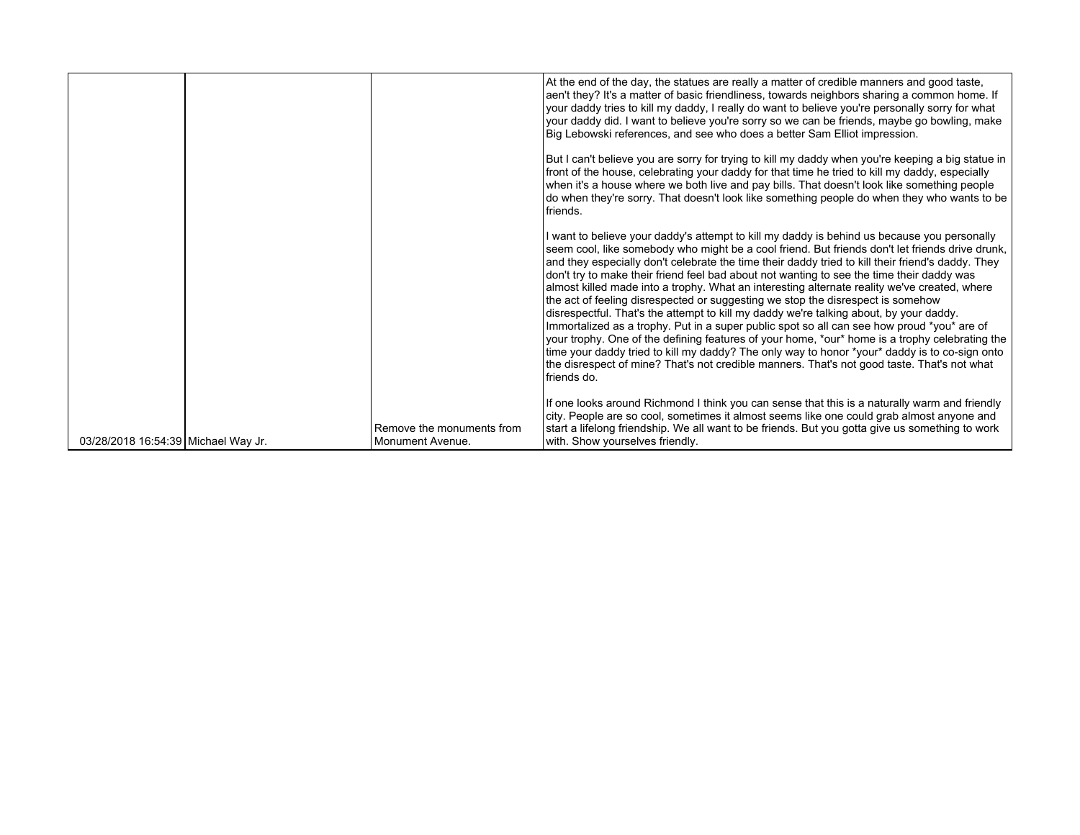|                                     |                                               | At the end of the day, the statues are really a matter of credible manners and good taste,<br>aen't they? It's a matter of basic friendliness, towards neighbors sharing a common home. If<br>your daddy tries to kill my daddy, I really do want to believe you're personally sorry for what<br>your daddy did. I want to believe you're sorry so we can be friends, maybe go bowling, make<br>Big Lebowski references, and see who does a better Sam Elliot impression.<br>But I can't believe you are sorry for trying to kill my daddy when you're keeping a big statue in<br>front of the house, celebrating your daddy for that time he tried to kill my daddy, especially<br>when it's a house where we both live and pay bills. That doesn't look like something people<br>do when they're sorry. That doesn't look like something people do when they who wants to be<br>friends.                                                                                                                                                                                                   |
|-------------------------------------|-----------------------------------------------|----------------------------------------------------------------------------------------------------------------------------------------------------------------------------------------------------------------------------------------------------------------------------------------------------------------------------------------------------------------------------------------------------------------------------------------------------------------------------------------------------------------------------------------------------------------------------------------------------------------------------------------------------------------------------------------------------------------------------------------------------------------------------------------------------------------------------------------------------------------------------------------------------------------------------------------------------------------------------------------------------------------------------------------------------------------------------------------------|
|                                     |                                               | I want to believe your daddy's attempt to kill my daddy is behind us because you personally<br>seem cool, like somebody who might be a cool friend. But friends don't let friends drive drunk,<br>and they especially don't celebrate the time their daddy tried to kill their friend's daddy. They<br>don't try to make their friend feel bad about not wanting to see the time their daddy was<br>almost killed made into a trophy. What an interesting alternate reality we've created, where<br>the act of feeling disrespected or suggesting we stop the disrespect is somehow<br>disrespectful. That's the attempt to kill my daddy we're talking about, by your daddy.<br>Immortalized as a trophy. Put in a super public spot so all can see how proud *you* are of<br>your trophy. One of the defining features of your home, *our* home is a trophy celebrating the<br>time your daddy tried to kill my daddy? The only way to honor *your* daddy is to co-sign onto<br>the disrespect of mine? That's not credible manners. That's not good taste. That's not what<br>friends do. |
| 03/28/2018 16:54:39 Michael Way Jr. | Remove the monuments from<br>Monument Avenue. | If one looks around Richmond I think you can sense that this is a naturally warm and friendly<br>city. People are so cool, sometimes it almost seems like one could grab almost anyone and<br>start a lifelong friendship. We all want to be friends. But you gotta give us something to work<br>with. Show yourselves friendly.                                                                                                                                                                                                                                                                                                                                                                                                                                                                                                                                                                                                                                                                                                                                                             |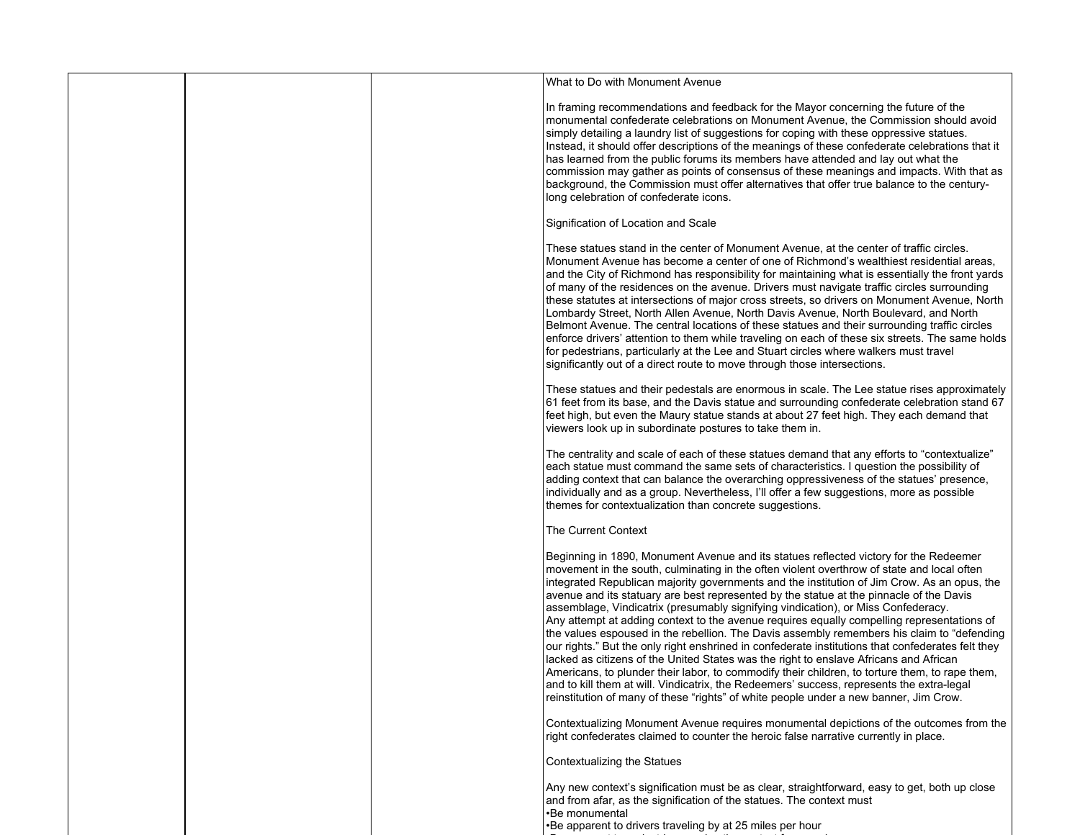|  | What to Do with Monument Avenue                                                                                                                                                                                                                                                                                                                                                                                                                                                                                                                                                                                                                                                                                                                                                                                                                                                                                                                                                                                                                                                                                                                      |
|--|------------------------------------------------------------------------------------------------------------------------------------------------------------------------------------------------------------------------------------------------------------------------------------------------------------------------------------------------------------------------------------------------------------------------------------------------------------------------------------------------------------------------------------------------------------------------------------------------------------------------------------------------------------------------------------------------------------------------------------------------------------------------------------------------------------------------------------------------------------------------------------------------------------------------------------------------------------------------------------------------------------------------------------------------------------------------------------------------------------------------------------------------------|
|  | In framing recommendations and feedback for the Mayor concerning the future of the<br>monumental confederate celebrations on Monument Avenue, the Commission should avoid<br>simply detailing a laundry list of suggestions for coping with these oppressive statues.<br>Instead, it should offer descriptions of the meanings of these confederate celebrations that it<br>has learned from the public forums its members have attended and lay out what the<br>commission may gather as points of consensus of these meanings and impacts. With that as<br>background, the Commission must offer alternatives that offer true balance to the century-<br>long celebration of confederate icons.                                                                                                                                                                                                                                                                                                                                                                                                                                                    |
|  | Signification of Location and Scale                                                                                                                                                                                                                                                                                                                                                                                                                                                                                                                                                                                                                                                                                                                                                                                                                                                                                                                                                                                                                                                                                                                  |
|  | These statues stand in the center of Monument Avenue, at the center of traffic circles.<br>Monument Avenue has become a center of one of Richmond's wealthiest residential areas,<br>and the City of Richmond has responsibility for maintaining what is essentially the front yards<br>of many of the residences on the avenue. Drivers must navigate traffic circles surrounding<br>these statutes at intersections of major cross streets, so drivers on Monument Avenue, North<br>Lombardy Street, North Allen Avenue, North Davis Avenue, North Boulevard, and North<br>Belmont Avenue. The central locations of these statues and their surrounding traffic circles<br>enforce drivers' attention to them while traveling on each of these six streets. The same holds<br>for pedestrians, particularly at the Lee and Stuart circles where walkers must travel<br>significantly out of a direct route to move through those intersections.                                                                                                                                                                                                    |
|  | These statues and their pedestals are enormous in scale. The Lee statue rises approximately<br>61 feet from its base, and the Davis statue and surrounding confederate celebration stand 67<br>feet high, but even the Maury statue stands at about 27 feet high. They each demand that<br>viewers look up in subordinate postures to take them in.                                                                                                                                                                                                                                                                                                                                                                                                                                                                                                                                                                                                                                                                                                                                                                                                  |
|  | The centrality and scale of each of these statues demand that any efforts to "contextualize"<br>each statue must command the same sets of characteristics. I question the possibility of<br>adding context that can balance the overarching oppressiveness of the statues' presence,<br>individually and as a group. Nevertheless, I'll offer a few suggestions, more as possible<br>themes for contextualization than concrete suggestions.                                                                                                                                                                                                                                                                                                                                                                                                                                                                                                                                                                                                                                                                                                         |
|  | The Current Context                                                                                                                                                                                                                                                                                                                                                                                                                                                                                                                                                                                                                                                                                                                                                                                                                                                                                                                                                                                                                                                                                                                                  |
|  | Beginning in 1890, Monument Avenue and its statues reflected victory for the Redeemer<br>movement in the south, culminating in the often violent overthrow of state and local often<br>integrated Republican majority governments and the institution of Jim Crow. As an opus, the<br>avenue and its statuary are best represented by the statue at the pinnacle of the Davis<br>assemblage, Vindicatrix (presumably signifying vindication), or Miss Confederacy.<br>Any attempt at adding context to the avenue requires equally compelling representations of<br>the values espoused in the rebellion. The Davis assembly remembers his claim to "defending<br>our rights." But the only right enshrined in confederate institutions that confederates felt they<br>lacked as citizens of the United States was the right to enslave Africans and African<br>Americans, to plunder their labor, to commodify their children, to torture them, to rape them,<br>and to kill them at will. Vindicatrix, the Redeemers' success, represents the extra-legal<br>reinstitution of many of these "rights" of white people under a new banner, Jim Crow. |
|  | Contextualizing Monument Avenue requires monumental depictions of the outcomes from the<br>right confederates claimed to counter the heroic false narrative currently in place.                                                                                                                                                                                                                                                                                                                                                                                                                                                                                                                                                                                                                                                                                                                                                                                                                                                                                                                                                                      |
|  | Contextualizing the Statues                                                                                                                                                                                                                                                                                                                                                                                                                                                                                                                                                                                                                                                                                                                                                                                                                                                                                                                                                                                                                                                                                                                          |
|  | Any new context's signification must be as clear, straightforward, easy to get, both up close<br>and from afar, as the signification of the statues. The context must<br>•Be monumental<br>•Be apparent to drivers traveling by at 25 miles per hour                                                                                                                                                                                                                                                                                                                                                                                                                                                                                                                                                                                                                                                                                                                                                                                                                                                                                                 |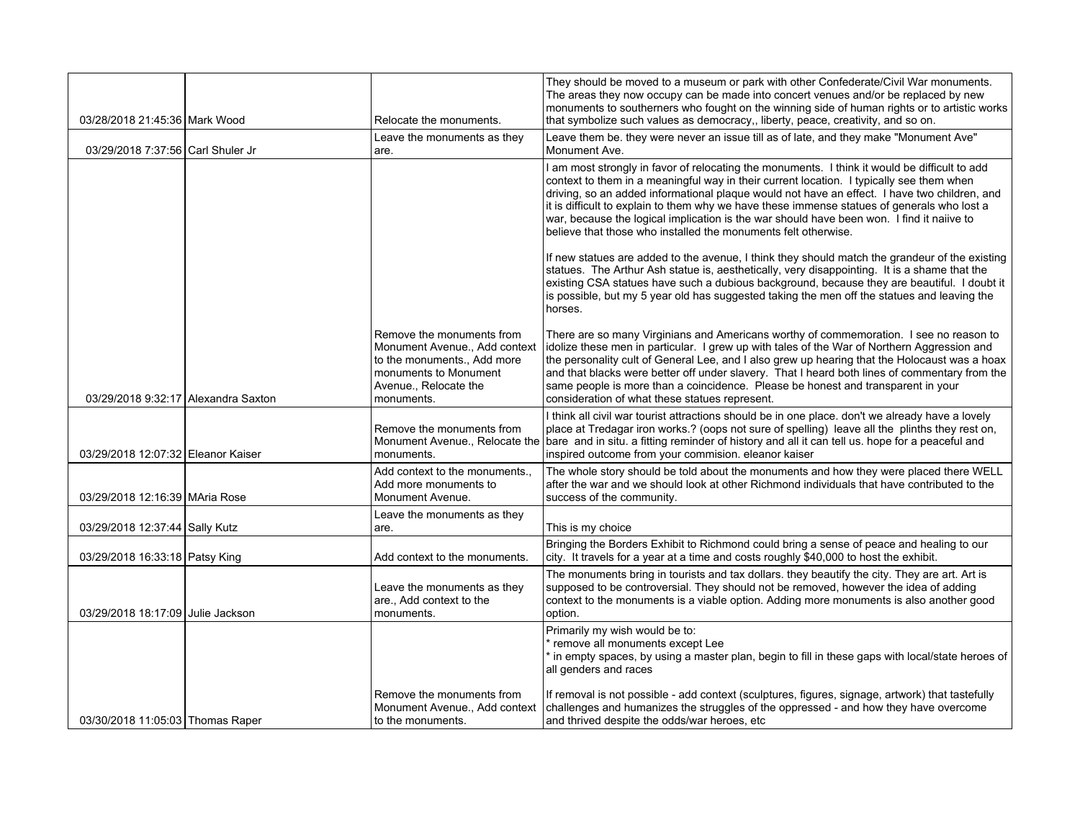| 03/28/2018 21:45:36 Mark Wood       | Relocate the monuments.                                                                                                                                   | They should be moved to a museum or park with other Confederate/Civil War monuments.<br>The areas they now occupy can be made into concert venues and/or be replaced by new<br>monuments to southerners who fought on the winning side of human rights or to artistic works<br>that symbolize such values as democracy,, liberty, peace, creativity, and so on.                                                                                                                                                                                         |
|-------------------------------------|-----------------------------------------------------------------------------------------------------------------------------------------------------------|---------------------------------------------------------------------------------------------------------------------------------------------------------------------------------------------------------------------------------------------------------------------------------------------------------------------------------------------------------------------------------------------------------------------------------------------------------------------------------------------------------------------------------------------------------|
|                                     | Leave the monuments as they                                                                                                                               | Leave them be, they were never an issue till as of late, and they make "Monument Ave"                                                                                                                                                                                                                                                                                                                                                                                                                                                                   |
| 03/29/2018 7:37:56 Carl Shuler Jr   | are.                                                                                                                                                      | Monument Ave.                                                                                                                                                                                                                                                                                                                                                                                                                                                                                                                                           |
|                                     |                                                                                                                                                           | I am most strongly in favor of relocating the monuments. I think it would be difficult to add<br>context to them in a meaningful way in their current location. I typically see them when<br>driving, so an added informational plaque would not have an effect. I have two children, and<br>it is difficult to explain to them why we have these immense statues of generals who lost a<br>war, because the logical implication is the war should have been won. I find it naiive to<br>believe that those who installed the monuments felt otherwise. |
|                                     |                                                                                                                                                           | If new statues are added to the avenue, I think they should match the grandeur of the existing<br>statues. The Arthur Ash statue is, aesthetically, very disappointing. It is a shame that the<br>existing CSA statues have such a dubious background, because they are beautiful. I doubt it<br>is possible, but my 5 year old has suggested taking the men off the statues and leaving the<br>horses.                                                                                                                                                 |
| 03/29/2018 9:32:17 Alexandra Saxton | Remove the monuments from<br>Monument Avenue., Add context<br>to the monuments., Add more<br>monuments to Monument<br>Avenue., Relocate the<br>monuments. | There are so many Virginians and Americans worthy of commemoration. I see no reason to<br>idolize these men in particular. I grew up with tales of the War of Northern Aggression and<br>the personality cult of General Lee, and I also grew up hearing that the Holocaust was a hoax<br>and that blacks were better off under slavery. That I heard both lines of commentary from the<br>same people is more than a coincidence. Please be honest and transparent in your<br>consideration of what these statues represent.                           |
| 03/29/2018 12:07:32 Eleanor Kaiser  | Remove the monuments from<br>Monument Avenue., Relocate the<br>monuments.                                                                                 | I think all civil war tourist attractions should be in one place. don't we already have a lovely<br>place at Tredagar iron works.? (oops not sure of spelling) leave all the plinths they rest on,<br>bare and in situ. a fitting reminder of history and all it can tell us. hope for a peaceful and<br>inspired outcome from your commision, eleanor kaiser                                                                                                                                                                                           |
| 03/29/2018 12:16:39 MAria Rose      | Add context to the monuments.,<br>Add more monuments to<br>Monument Avenue.                                                                               | The whole story should be told about the monuments and how they were placed there WELL<br>after the war and we should look at other Richmond individuals that have contributed to the<br>success of the community.                                                                                                                                                                                                                                                                                                                                      |
| 03/29/2018 12:37:44 Sally Kutz      | Leave the monuments as they<br>are.                                                                                                                       | This is my choice                                                                                                                                                                                                                                                                                                                                                                                                                                                                                                                                       |
| 03/29/2018 16:33:18 Patsy King      | Add context to the monuments.                                                                                                                             | Bringing the Borders Exhibit to Richmond could bring a sense of peace and healing to our<br>city. It travels for a year at a time and costs roughly \$40,000 to host the exhibit.                                                                                                                                                                                                                                                                                                                                                                       |
| 03/29/2018 18:17:09 Julie Jackson   | Leave the monuments as they<br>are., Add context to the<br>monuments.                                                                                     | The monuments bring in tourists and tax dollars. they beautify the city. They are art. Art is<br>supposed to be controversial. They should not be removed, however the idea of adding<br>context to the monuments is a viable option. Adding more monuments is also another good<br>option.                                                                                                                                                                                                                                                             |
|                                     |                                                                                                                                                           | Primarily my wish would be to:<br>fremove all monuments except Lee<br>in empty spaces, by using a master plan, begin to fill in these gaps with local/state heroes of<br>all genders and races                                                                                                                                                                                                                                                                                                                                                          |
| 03/30/2018 11:05:03 Thomas Raper    | Remove the monuments from<br>Monument Avenue., Add context<br>to the monuments.                                                                           | If removal is not possible - add context (sculptures, figures, signage, artwork) that tastefully<br>challenges and humanizes the struggles of the oppressed - and how they have overcome<br>and thrived despite the odds/war heroes, etc.                                                                                                                                                                                                                                                                                                               |